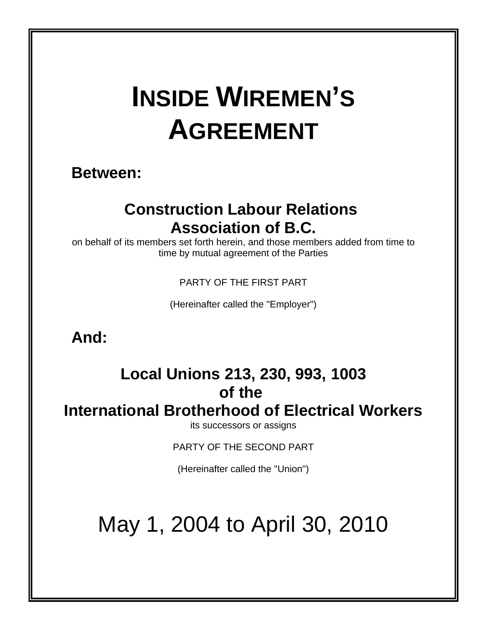# **INSIDE WIREMEN'S AGREEMENT**

# **Between:**

# **Construction Labour Relations Association of B.C.**

on behalf of its members set forth herein, and those members added from time to time by mutual agreement of the Parties

PARTY OF THE FIRST PART

(Hereinafter called the "Employer")

**And:**

# **Local Unions 213, 230, 993, 1003 of the**

**International Brotherhood of Electrical Workers**

its successors or assigns

PARTY OF THE SECOND PART

(Hereinafter called the "Union")

# May 1, 2004 to April 30, 2010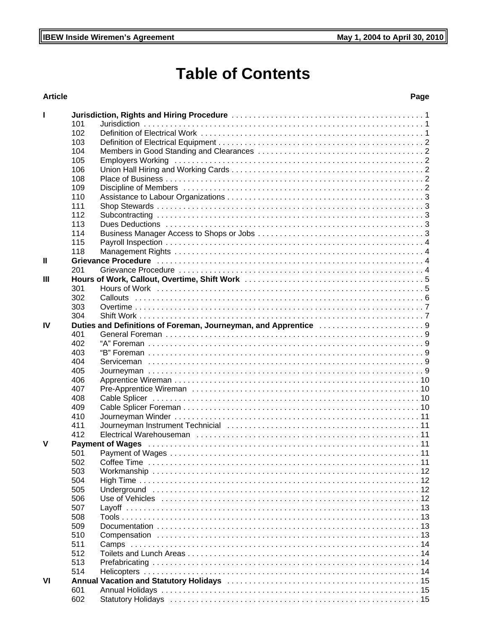# **Table of Contents**

# **Article**

# Page

| J. |     |                                                                                                                                                                                                                                |
|----|-----|--------------------------------------------------------------------------------------------------------------------------------------------------------------------------------------------------------------------------------|
|    | 101 |                                                                                                                                                                                                                                |
|    | 102 |                                                                                                                                                                                                                                |
|    | 103 |                                                                                                                                                                                                                                |
|    | 104 |                                                                                                                                                                                                                                |
|    | 105 |                                                                                                                                                                                                                                |
|    | 106 |                                                                                                                                                                                                                                |
|    | 108 |                                                                                                                                                                                                                                |
|    | 109 |                                                                                                                                                                                                                                |
|    | 110 |                                                                                                                                                                                                                                |
|    | 111 |                                                                                                                                                                                                                                |
|    | 112 |                                                                                                                                                                                                                                |
|    | 113 |                                                                                                                                                                                                                                |
|    | 114 |                                                                                                                                                                                                                                |
|    | 115 |                                                                                                                                                                                                                                |
|    | 118 |                                                                                                                                                                                                                                |
| Ш  |     | Grievance Procedure (and account of the contract of the contract of the contract of the contract of the contract of the contract of the contract of the contract of the contract of the contract of the contract of the contra |
|    | 201 |                                                                                                                                                                                                                                |
| Ш  |     |                                                                                                                                                                                                                                |
|    | 301 |                                                                                                                                                                                                                                |
|    | 302 |                                                                                                                                                                                                                                |
|    | 303 |                                                                                                                                                                                                                                |
|    | 304 |                                                                                                                                                                                                                                |
| IV |     | Duties and Definitions of Foreman, Journeyman, and Apprentice 9                                                                                                                                                                |
|    | 401 |                                                                                                                                                                                                                                |
|    | 402 |                                                                                                                                                                                                                                |
|    | 403 |                                                                                                                                                                                                                                |
|    | 404 |                                                                                                                                                                                                                                |
|    | 405 |                                                                                                                                                                                                                                |
|    | 406 |                                                                                                                                                                                                                                |
|    | 407 |                                                                                                                                                                                                                                |
|    | 408 |                                                                                                                                                                                                                                |
|    | 409 |                                                                                                                                                                                                                                |
|    | 410 |                                                                                                                                                                                                                                |
|    | 411 |                                                                                                                                                                                                                                |
|    | 412 |                                                                                                                                                                                                                                |
| v  |     | Payment of Wages (and account of the control of the control of the control of the control of the control of the control of the control of the control of the control of the control of the control of the control of the contr |
|    | 501 |                                                                                                                                                                                                                                |
|    | 502 |                                                                                                                                                                                                                                |
|    | 503 |                                                                                                                                                                                                                                |
|    | 504 |                                                                                                                                                                                                                                |
|    | 505 |                                                                                                                                                                                                                                |
|    | 506 | Use of Vehicles in material contact the control of the control of the control of Vehicles in the control of the control of the control of the control of the control of the control of the control of the control of the contr |
|    | 507 |                                                                                                                                                                                                                                |
|    | 508 |                                                                                                                                                                                                                                |
|    | 509 |                                                                                                                                                                                                                                |
|    | 510 |                                                                                                                                                                                                                                |
|    | 511 |                                                                                                                                                                                                                                |
|    | 512 |                                                                                                                                                                                                                                |
|    | 513 |                                                                                                                                                                                                                                |
|    | 514 |                                                                                                                                                                                                                                |
| VI |     |                                                                                                                                                                                                                                |
|    | 601 |                                                                                                                                                                                                                                |
|    | 602 |                                                                                                                                                                                                                                |
|    |     |                                                                                                                                                                                                                                |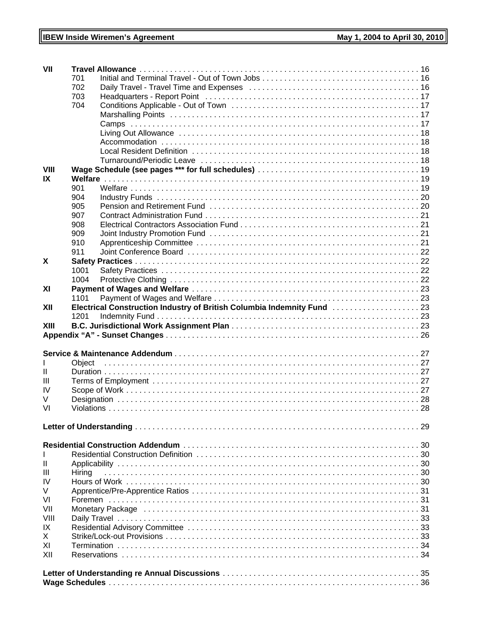| VII         |        |                                                                                                                                                                                                                                |  |  |  |
|-------------|--------|--------------------------------------------------------------------------------------------------------------------------------------------------------------------------------------------------------------------------------|--|--|--|
|             | 701    |                                                                                                                                                                                                                                |  |  |  |
|             | 702    |                                                                                                                                                                                                                                |  |  |  |
|             | 703    |                                                                                                                                                                                                                                |  |  |  |
|             | 704    |                                                                                                                                                                                                                                |  |  |  |
|             |        |                                                                                                                                                                                                                                |  |  |  |
|             |        |                                                                                                                                                                                                                                |  |  |  |
|             |        |                                                                                                                                                                                                                                |  |  |  |
|             |        |                                                                                                                                                                                                                                |  |  |  |
|             |        |                                                                                                                                                                                                                                |  |  |  |
|             |        |                                                                                                                                                                                                                                |  |  |  |
| <b>VIII</b> |        |                                                                                                                                                                                                                                |  |  |  |
| IX          |        |                                                                                                                                                                                                                                |  |  |  |
|             | 901    |                                                                                                                                                                                                                                |  |  |  |
|             | 904    |                                                                                                                                                                                                                                |  |  |  |
|             | 905    |                                                                                                                                                                                                                                |  |  |  |
|             | 907    |                                                                                                                                                                                                                                |  |  |  |
|             | 908    |                                                                                                                                                                                                                                |  |  |  |
|             | 909    |                                                                                                                                                                                                                                |  |  |  |
|             | 910    |                                                                                                                                                                                                                                |  |  |  |
|             | 911    |                                                                                                                                                                                                                                |  |  |  |
| X           |        |                                                                                                                                                                                                                                |  |  |  |
|             | 1001   |                                                                                                                                                                                                                                |  |  |  |
|             | 1004   |                                                                                                                                                                                                                                |  |  |  |
| XI          |        |                                                                                                                                                                                                                                |  |  |  |
|             | 1101   |                                                                                                                                                                                                                                |  |  |  |
| XII         |        | Electrical Construction Industry of British Columbia Indemnity Fund [1, 1, 1, 1, 1, 1, 1, 1, 1, 23]                                                                                                                            |  |  |  |
|             | 1201   |                                                                                                                                                                                                                                |  |  |  |
| XIII        |        |                                                                                                                                                                                                                                |  |  |  |
|             |        |                                                                                                                                                                                                                                |  |  |  |
|             |        |                                                                                                                                                                                                                                |  |  |  |
|             |        |                                                                                                                                                                                                                                |  |  |  |
| H.          |        |                                                                                                                                                                                                                                |  |  |  |
| Ш           |        |                                                                                                                                                                                                                                |  |  |  |
| IV          |        |                                                                                                                                                                                                                                |  |  |  |
| V           |        |                                                                                                                                                                                                                                |  |  |  |
| VI          |        |                                                                                                                                                                                                                                |  |  |  |
|             |        |                                                                                                                                                                                                                                |  |  |  |
|             |        |                                                                                                                                                                                                                                |  |  |  |
|             |        |                                                                                                                                                                                                                                |  |  |  |
|             |        |                                                                                                                                                                                                                                |  |  |  |
| L           |        |                                                                                                                                                                                                                                |  |  |  |
| Ш           |        |                                                                                                                                                                                                                                |  |  |  |
| Ш           | Hiring |                                                                                                                                                                                                                                |  |  |  |
| IV          |        |                                                                                                                                                                                                                                |  |  |  |
| V           |        |                                                                                                                                                                                                                                |  |  |  |
| VI          |        |                                                                                                                                                                                                                                |  |  |  |
| VII         |        | Monetary Package (and according to the control of the control of the control of the control of the control of the control of the control of the control of the control of the control of the control of the control of the con |  |  |  |
| VIII        |        |                                                                                                                                                                                                                                |  |  |  |
| IX          |        |                                                                                                                                                                                                                                |  |  |  |
| X           |        |                                                                                                                                                                                                                                |  |  |  |
| XI          |        |                                                                                                                                                                                                                                |  |  |  |
| XII         |        |                                                                                                                                                                                                                                |  |  |  |
|             |        |                                                                                                                                                                                                                                |  |  |  |
|             |        |                                                                                                                                                                                                                                |  |  |  |
|             |        |                                                                                                                                                                                                                                |  |  |  |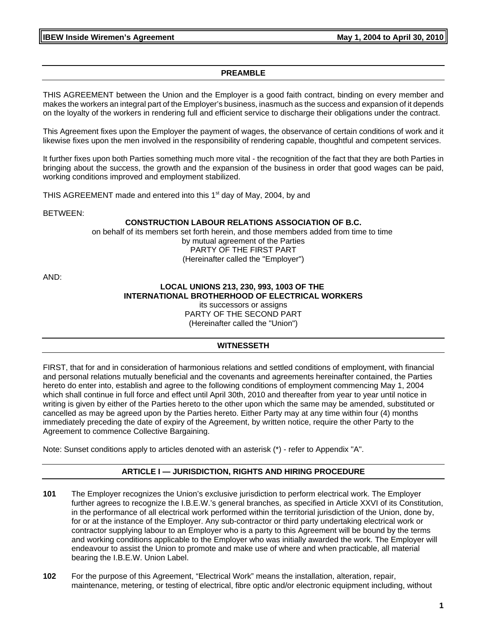**IBEW Inside Wiremen's Agreement Constrained Act 2004 to April 30, 2010** May 1, 2004 to April 30, 2010

#### **PREAMBLE**

THIS AGREEMENT between the Union and the Employer is a good faith contract, binding on every member and makes the workers an integral part of the Employer's business, inasmuch as the success and expansion of it depends on the loyalty of the workers in rendering full and efficient service to discharge their obligations under the contract.

This Agreement fixes upon the Employer the payment of wages, the observance of certain conditions of work and it likewise fixes upon the men involved in the responsibility of rendering capable, thoughtful and competent services.

It further fixes upon both Parties something much more vital - the recognition of the fact that they are both Parties in bringing about the success, the growth and the expansion of the business in order that good wages can be paid, working conditions improved and employment stabilized.

THIS AGREEMENT made and entered into this  $1<sup>st</sup>$  day of May, 2004, by and

BETWEEN:

#### **CONSTRUCTION LABOUR RELATIONS ASSOCIATION OF B.C.**

on behalf of its members set forth herein, and those members added from time to time by mutual agreement of the Parties PARTY OF THE FIRST PART (Hereinafter called the "Employer")

AND:

#### **LOCAL UNIONS 213, 230, 993, 1003 OF THE INTERNATIONAL BROTHERHOOD OF ELECTRICAL WORKERS** its successors or assigns PARTY OF THE SECOND PART

(Hereinafter called the "Union")

#### **WITNESSETH**

FIRST, that for and in consideration of harmonious relations and settled conditions of employment, with financial and personal relations mutually beneficial and the covenants and agreements hereinafter contained, the Parties hereto do enter into, establish and agree to the following conditions of employment commencing May 1, 2004 which shall continue in full force and effect until April 30th, 2010 and thereafter from year to year until notice in writing is given by either of the Parties hereto to the other upon which the same may be amended, substituted or cancelled as may be agreed upon by the Parties hereto. Either Party may at any time within four (4) months immediately preceding the date of expiry of the Agreement, by written notice, require the other Party to the Agreement to commence Collective Bargaining.

Note: Sunset conditions apply to articles denoted with an asterisk (\*) - refer to Appendix "A".

#### **ARTICLE I — JURISDICTION, RIGHTS AND HIRING PROCEDURE**

- **101** The Employer recognizes the Union's exclusive jurisdiction to perform electrical work. The Employer further agrees to recognize the I.B.E.W.'s general branches, as specified in Article XXVI of its Constitution, in the performance of all electrical work performed within the territorial jurisdiction of the Union, done by, for or at the instance of the Employer. Any sub-contractor or third party undertaking electrical work or contractor supplying labour to an Employer who is a party to this Agreement will be bound by the terms and working conditions applicable to the Employer who was initially awarded the work. The Employer will endeavour to assist the Union to promote and make use of where and when practicable, all material bearing the I.B.E.W. Union Label.
- **102** For the purpose of this Agreement, "Electrical Work" means the installation, alteration, repair, maintenance, metering, or testing of electrical, fibre optic and/or electronic equipment including, without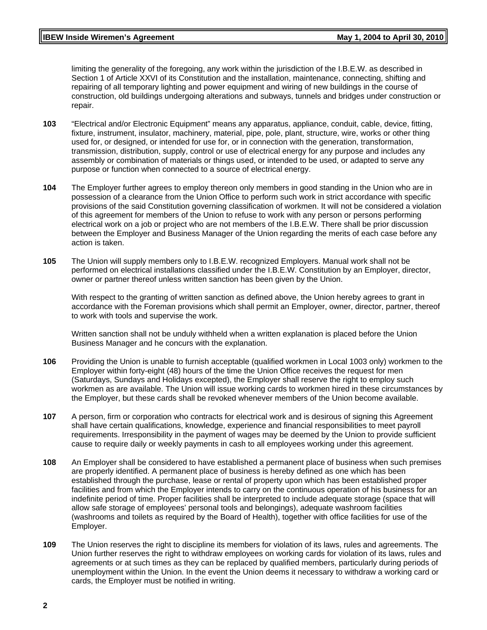# **IBEW Inside Wiremen's Agreement Constrained Act 2004 to April 30, 2010**

limiting the generality of the foregoing, any work within the jurisdiction of the I.B.E.W. as described in Section 1 of Article XXVI of its Constitution and the installation, maintenance, connecting, shifting and repairing of all temporary lighting and power equipment and wiring of new buildings in the course of construction, old buildings undergoing alterations and subways, tunnels and bridges under construction or repair.

- **103** "Electrical and/or Electronic Equipment" means any apparatus, appliance, conduit, cable, device, fitting, fixture, instrument, insulator, machinery, material, pipe, pole, plant, structure, wire, works or other thing used for, or designed, or intended for use for, or in connection with the generation, transformation, transmission, distribution, supply, control or use of electrical energy for any purpose and includes any assembly or combination of materials or things used, or intended to be used, or adapted to serve any purpose or function when connected to a source of electrical energy.
- **104** The Employer further agrees to employ thereon only members in good standing in the Union who are in possession of a clearance from the Union Office to perform such work in strict accordance with specific provisions of the said Constitution governing classification of workmen. It will not be considered a violation of this agreement for members of the Union to refuse to work with any person or persons performing electrical work on a job or project who are not members of the I.B.E.W. There shall be prior discussion between the Employer and Business Manager of the Union regarding the merits of each case before any action is taken.
- **105** The Union will supply members only to I.B.E.W. recognized Employers. Manual work shall not be performed on electrical installations classified under the I.B.E.W. Constitution by an Employer, director, owner or partner thereof unless written sanction has been given by the Union.

With respect to the granting of written sanction as defined above, the Union hereby agrees to grant in accordance with the Foreman provisions which shall permit an Employer, owner, director, partner, thereof to work with tools and supervise the work.

Written sanction shall not be unduly withheld when a written explanation is placed before the Union Business Manager and he concurs with the explanation.

- **106** Providing the Union is unable to furnish acceptable (qualified workmen in Local 1003 only) workmen to the Employer within forty-eight (48) hours of the time the Union Office receives the request for men (Saturdays, Sundays and Holidays excepted), the Employer shall reserve the right to employ such workmen as are available. The Union will issue working cards to workmen hired in these circumstances by the Employer, but these cards shall be revoked whenever members of the Union become available.
- **107** A person, firm or corporation who contracts for electrical work and is desirous of signing this Agreement shall have certain qualifications, knowledge, experience and financial responsibilities to meet payroll requirements. Irresponsibility in the payment of wages may be deemed by the Union to provide sufficient cause to require daily or weekly payments in cash to all employees working under this agreement.
- **108** An Employer shall be considered to have established a permanent place of business when such premises are properly identified. A permanent place of business is hereby defined as one which has been established through the purchase, lease or rental of property upon which has been established proper facilities and from which the Employer intends to carry on the continuous operation of his business for an indefinite period of time. Proper facilities shall be interpreted to include adequate storage (space that will allow safe storage of employees' personal tools and belongings), adequate washroom facilities (washrooms and toilets as required by the Board of Health), together with office facilities for use of the Employer.
- **109** The Union reserves the right to discipline its members for violation of its laws, rules and agreements. The Union further reserves the right to withdraw employees on working cards for violation of its laws, rules and agreements or at such times as they can be replaced by qualified members, particularly during periods of unemployment within the Union. In the event the Union deems it necessary to withdraw a working card or cards, the Employer must be notified in writing.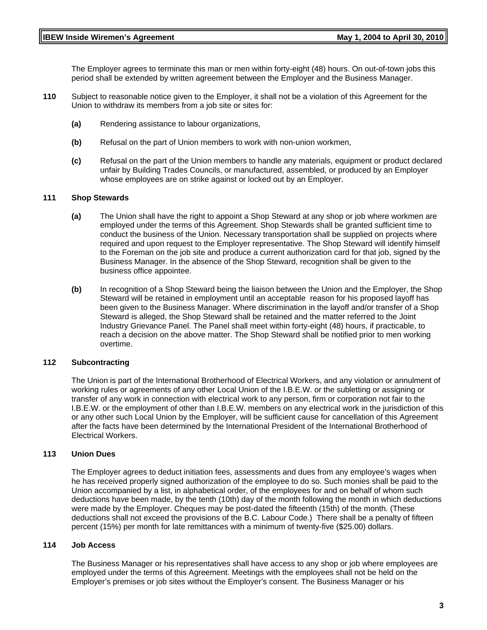The Employer agrees to terminate this man or men within forty-eight (48) hours. On out-of-town jobs this period shall be extended by written agreement between the Employer and the Business Manager.

- **110** Subject to reasonable notice given to the Employer, it shall not be a violation of this Agreement for the Union to withdraw its members from a job site or sites for:
	- **(a)** Rendering assistance to labour organizations,
	- **(b)** Refusal on the part of Union members to work with non-union workmen,
	- **(c)** Refusal on the part of the Union members to handle any materials, equipment or product declared unfair by Building Trades Councils, or manufactured, assembled, or produced by an Employer whose employees are on strike against or locked out by an Employer.

#### **111 Shop Stewards**

- **(a)** The Union shall have the right to appoint a Shop Steward at any shop or job where workmen are employed under the terms of this Agreement. Shop Stewards shall be granted sufficient time to conduct the business of the Union. Necessary transportation shall be supplied on projects where required and upon request to the Employer representative. The Shop Steward will identify himself to the Foreman on the job site and produce a current authorization card for that job, signed by the Business Manager. In the absence of the Shop Steward, recognition shall be given to the business office appointee.
- **(b)** In recognition of a Shop Steward being the liaison between the Union and the Employer, the Shop Steward will be retained in employment until an acceptable reason for his proposed layoff has been given to the Business Manager. Where discrimination in the layoff and/or transfer of a Shop Steward is alleged, the Shop Steward shall be retained and the matter referred to the Joint Industry Grievance Panel. The Panel shall meet within forty-eight (48) hours, if practicable, to reach a decision on the above matter. The Shop Steward shall be notified prior to men working overtime.

#### **112 Subcontracting**

The Union is part of the International Brotherhood of Electrical Workers, and any violation or annulment of working rules or agreements of any other Local Union of the I.B.E.W. or the subletting or assigning or transfer of any work in connection with electrical work to any person, firm or corporation not fair to the I.B.E.W. or the employment of other than I.B.E.W. members on any electrical work in the jurisdiction of this or any other such Local Union by the Employer, will be sufficient cause for cancellation of this Agreement after the facts have been determined by the International President of the International Brotherhood of Electrical Workers.

#### **113 Union Dues**

The Employer agrees to deduct initiation fees, assessments and dues from any employee's wages when he has received properly signed authorization of the employee to do so. Such monies shall be paid to the Union accompanied by a list, in alphabetical order, of the employees for and on behalf of whom such deductions have been made, by the tenth (10th) day of the month following the month in which deductions were made by the Employer. Cheques may be post-dated the fifteenth (15th) of the month. (These deductions shall not exceed the provisions of the B.C. Labour Code.) There shall be a penalty of fifteen percent (15%) per month for late remittances with a minimum of twenty-five (\$25.00) dollars.

#### **114 Job Access**

The Business Manager or his representatives shall have access to any shop or job where employees are employed under the terms of this Agreement. Meetings with the employees shall not be held on the Employer's premises or job sites without the Employer's consent. The Business Manager or his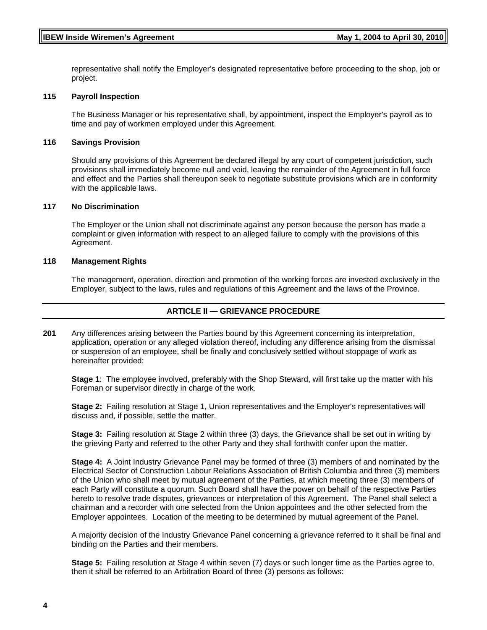representative shall notify the Employer's designated representative before proceeding to the shop, job or project.

#### **115 Payroll Inspection**

The Business Manager or his representative shall, by appointment, inspect the Employer's payroll as to time and pay of workmen employed under this Agreement.

#### **116 Savings Provision**

Should any provisions of this Agreement be declared illegal by any court of competent jurisdiction, such provisions shall immediately become null and void, leaving the remainder of the Agreement in full force and effect and the Parties shall thereupon seek to negotiate substitute provisions which are in conformity with the applicable laws.

#### **117 No Discrimination**

The Employer or the Union shall not discriminate against any person because the person has made a complaint or given information with respect to an alleged failure to comply with the provisions of this Agreement.

#### **118 Management Rights**

The management, operation, direction and promotion of the working forces are invested exclusively in the Employer, subject to the laws, rules and regulations of this Agreement and the laws of the Province.

# **ARTICLE II — GRIEVANCE PROCEDURE**

**201** Any differences arising between the Parties bound by this Agreement concerning its interpretation, application, operation or any alleged violation thereof, including any difference arising from the dismissal or suspension of an employee, shall be finally and conclusively settled without stoppage of work as hereinafter provided:

**Stage 1**: The employee involved, preferably with the Shop Steward, will first take up the matter with his Foreman or supervisor directly in charge of the work.

**Stage 2:** Failing resolution at Stage 1, Union representatives and the Employer's representatives will discuss and, if possible, settle the matter.

**Stage 3:** Failing resolution at Stage 2 within three (3) days, the Grievance shall be set out in writing by the grieving Party and referred to the other Party and they shall forthwith confer upon the matter.

**Stage 4:** A Joint Industry Grievance Panel may be formed of three (3) members of and nominated by the Electrical Sector of Construction Labour Relations Association of British Columbia and three (3) members of the Union who shall meet by mutual agreement of the Parties, at which meeting three (3) members of each Party will constitute a quorum. Such Board shall have the power on behalf of the respective Parties hereto to resolve trade disputes, grievances or interpretation of this Agreement. The Panel shall select a chairman and a recorder with one selected from the Union appointees and the other selected from the Employer appointees. Location of the meeting to be determined by mutual agreement of the Panel.

A majority decision of the Industry Grievance Panel concerning a grievance referred to it shall be final and binding on the Parties and their members.

**Stage 5:** Failing resolution at Stage 4 within seven (7) days or such longer time as the Parties agree to, then it shall be referred to an Arbitration Board of three (3) persons as follows: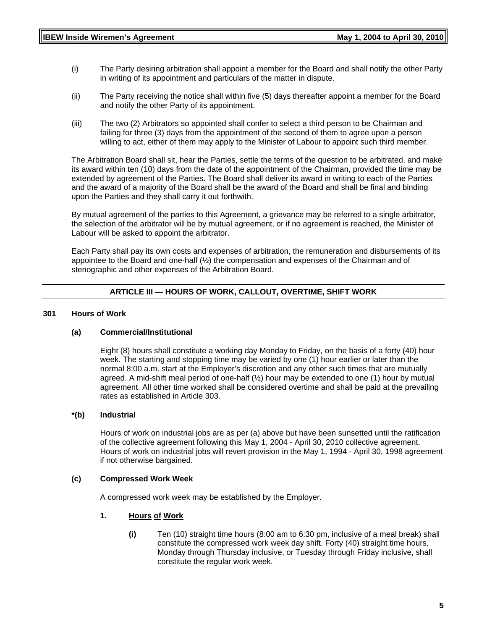- (i) The Party desiring arbitration shall appoint a member for the Board and shall notify the other Party in writing of its appointment and particulars of the matter in dispute.
- (ii) The Party receiving the notice shall within five (5) days thereafter appoint a member for the Board and notify the other Party of its appointment.
- (iii) The two (2) Arbitrators so appointed shall confer to select a third person to be Chairman and failing for three (3) days from the appointment of the second of them to agree upon a person willing to act, either of them may apply to the Minister of Labour to appoint such third member.

The Arbitration Board shall sit, hear the Parties, settle the terms of the question to be arbitrated, and make its award within ten (10) days from the date of the appointment of the Chairman, provided the time may be extended by agreement of the Parties. The Board shall deliver its award in writing to each of the Parties and the award of a majority of the Board shall be the award of the Board and shall be final and binding upon the Parties and they shall carry it out forthwith.

By mutual agreement of the parties to this Agreement, a grievance may be referred to a single arbitrator, the selection of the arbitrator will be by mutual agreement, or if no agreement is reached, the Minister of Labour will be asked to appoint the arbitrator.

Each Party shall pay its own costs and expenses of arbitration, the remuneration and disbursements of its appointee to the Board and one-half  $(\frac{1}{2})$  the compensation and expenses of the Chairman and of stenographic and other expenses of the Arbitration Board.

#### **ARTICLE III — HOURS OF WORK, CALLOUT, OVERTIME, SHIFT WORK**

#### **301 Hours of Work**

#### **(a) Commercial/Institutional**

Eight (8) hours shall constitute a working day Monday to Friday, on the basis of a forty (40) hour week. The starting and stopping time may be varied by one (1) hour earlier or later than the normal 8:00 a.m. start at the Employer's discretion and any other such times that are mutually agreed. A mid-shift meal period of one-half  $(\frac{1}{2})$  hour may be extended to one (1) hour by mutual agreement. All other time worked shall be considered overtime and shall be paid at the prevailing rates as established in Article 303.

#### **\*(b) Industrial**

Hours of work on industrial jobs are as per (a) above but have been sunsetted until the ratification of the collective agreement following this May 1, 2004 - April 30, 2010 collective agreement. Hours of work on industrial jobs will revert provision in the May 1, 1994 - April 30, 1998 agreement if not otherwise bargained.

#### **(c) Compressed Work Week**

A compressed work week may be established by the Employer.

#### **1. Hours of Work**

**(i)** Ten (10) straight time hours (8:00 am to 6:30 pm, inclusive of a meal break) shall constitute the compressed work week day shift. Forty (40) straight time hours, Monday through Thursday inclusive, or Tuesday through Friday inclusive, shall constitute the regular work week.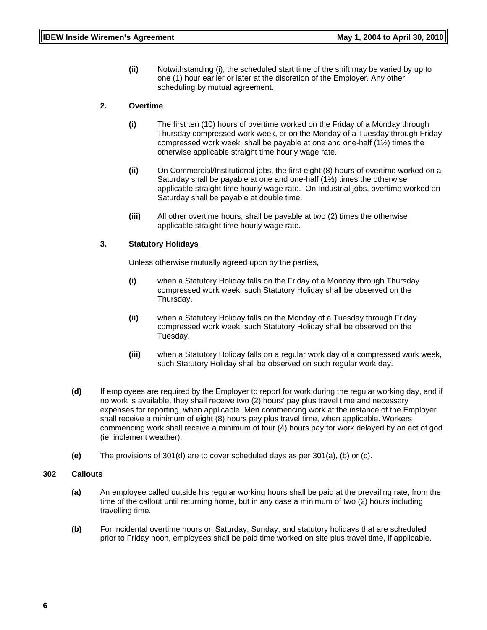**(ii)** Notwithstanding (i), the scheduled start time of the shift may be varied by up to one (1) hour earlier or later at the discretion of the Employer. Any other scheduling by mutual agreement.

#### **2. Overtime**

- **(i)** The first ten (10) hours of overtime worked on the Friday of a Monday through Thursday compressed work week, or on the Monday of a Tuesday through Friday compressed work week, shall be payable at one and one-half (1½) times the otherwise applicable straight time hourly wage rate.
- **(ii)** On Commercial/Institutional jobs, the first eight (8) hours of overtime worked on a Saturday shall be payable at one and one-half (1½) times the otherwise applicable straight time hourly wage rate. On Industrial jobs, overtime worked on Saturday shall be payable at double time.
- **(iii)** All other overtime hours, shall be payable at two (2) times the otherwise applicable straight time hourly wage rate.

#### **3. Statutory Holidays**

Unless otherwise mutually agreed upon by the parties,

- **(i)** when a Statutory Holiday falls on the Friday of a Monday through Thursday compressed work week, such Statutory Holiday shall be observed on the Thursday.
- **(ii)** when a Statutory Holiday falls on the Monday of a Tuesday through Friday compressed work week, such Statutory Holiday shall be observed on the Tuesday.
- **(iii)** when a Statutory Holiday falls on a regular work day of a compressed work week, such Statutory Holiday shall be observed on such regular work day.
- **(d)** If employees are required by the Employer to report for work during the regular working day, and if no work is available, they shall receive two (2) hours' pay plus travel time and necessary expenses for reporting, when applicable. Men commencing work at the instance of the Employer shall receive a minimum of eight (8) hours pay plus travel time, when applicable. Workers commencing work shall receive a minimum of four (4) hours pay for work delayed by an act of god (ie. inclement weather).
- **(e)** The provisions of 301(d) are to cover scheduled days as per 301(a), (b) or (c).

#### **302 Callouts**

- **(a)** An employee called outside his regular working hours shall be paid at the prevailing rate, from the time of the callout until returning home, but in any case a minimum of two (2) hours including travelling time.
- **(b)** For incidental overtime hours on Saturday, Sunday, and statutory holidays that are scheduled prior to Friday noon, employees shall be paid time worked on site plus travel time, if applicable.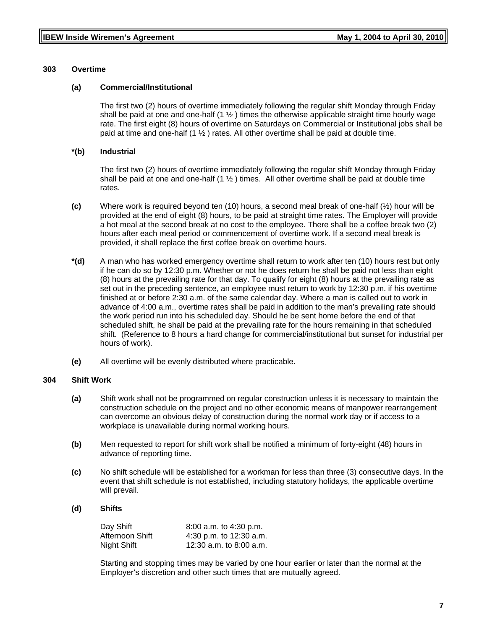#### **303 Overtime**

#### **(a) Commercial/Institutional**

The first two (2) hours of overtime immediately following the regular shift Monday through Friday shall be paid at one and one-half  $(1 \frac{1}{2})$  times the otherwise applicable straight time hourly wage rate. The first eight (8) hours of overtime on Saturdays on Commercial or Institutional jobs shall be paid at time and one-half  $(1 \frac{1}{2})$  rates. All other overtime shall be paid at double time.

#### **\*(b) Industrial**

The first two (2) hours of overtime immediately following the regular shift Monday through Friday shall be paid at one and one-half  $(1 \frac{1}{2})$  times. All other overtime shall be paid at double time rates.

- **(c)** Where work is required beyond ten (10) hours, a second meal break of one-half (½) hour will be provided at the end of eight (8) hours, to be paid at straight time rates. The Employer will provide a hot meal at the second break at no cost to the employee. There shall be a coffee break two (2) hours after each meal period or commencement of overtime work. If a second meal break is provided, it shall replace the first coffee break on overtime hours.
- **\*(d)** A man who has worked emergency overtime shall return to work after ten (10) hours rest but only if he can do so by 12:30 p.m. Whether or not he does return he shall be paid not less than eight (8) hours at the prevailing rate for that day. To qualify for eight (8) hours at the prevailing rate as set out in the preceding sentence, an employee must return to work by 12:30 p.m. if his overtime finished at or before 2:30 a.m. of the same calendar day. Where a man is called out to work in advance of 4:00 a.m., overtime rates shall be paid in addition to the man's prevailing rate should the work period run into his scheduled day. Should he be sent home before the end of that scheduled shift, he shall be paid at the prevailing rate for the hours remaining in that scheduled shift. (Reference to 8 hours a hard change for commercial/institutional but sunset for industrial per hours of work).
- **(e)** All overtime will be evenly distributed where practicable.

#### **304 Shift Work**

- **(a)** Shift work shall not be programmed on regular construction unless it is necessary to maintain the construction schedule on the project and no other economic means of manpower rearrangement can overcome an obvious delay of construction during the normal work day or if access to a workplace is unavailable during normal working hours.
- **(b)** Men requested to report for shift work shall be notified a minimum of forty-eight (48) hours in advance of reporting time.
- **(c)** No shift schedule will be established for a workman for less than three (3) consecutive days. In the event that shift schedule is not established, including statutory holidays, the applicable overtime will prevail.

#### **(d) Shifts**

| Day Shift       | 8:00 a.m. to 4:30 p.m.    |
|-----------------|---------------------------|
| Afternoon Shift | 4:30 p.m. to $12:30$ a.m. |
| Night Shift     | 12:30 a.m. to 8:00 a.m.   |

Starting and stopping times may be varied by one hour earlier or later than the normal at the Employer's discretion and other such times that are mutually agreed.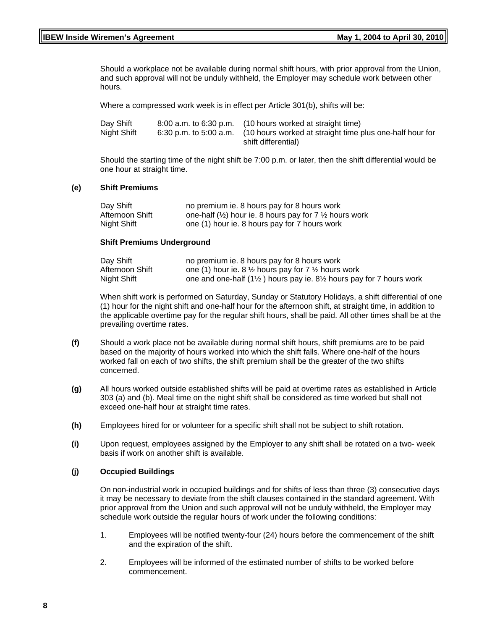Should a workplace not be available during normal shift hours, with prior approval from the Union, and such approval will not be unduly withheld, the Employer may schedule work between other hours.

Where a compressed work week is in effect per Article 301(b), shifts will be:

| Day Shift   | 8:00 a.m. to 6:30 p.m. (10 hours worked at straight time)                       |
|-------------|---------------------------------------------------------------------------------|
| Night Shift | 6:30 p.m. to 5:00 a.m. (10 hours worked at straight time plus one-half hour for |
|             | shift differential)                                                             |

Should the starting time of the night shift be 7:00 p.m. or later, then the shift differential would be one hour at straight time.

#### **(e) Shift Premiums**

| Day Shift       | no premium ie. 8 hours pay for 8 hours work                                  |
|-----------------|------------------------------------------------------------------------------|
| Afternoon Shift | one-half $(\frac{1}{2})$ hour ie. 8 hours pay for 7 $\frac{1}{2}$ hours work |
| Night Shift     | one (1) hour ie. 8 hours pay for 7 hours work                                |

#### **Shift Premiums Underground**

| Day Shift       | no premium ie. 8 hours pay for 8 hours work                                                              |
|-----------------|----------------------------------------------------------------------------------------------------------|
| Afternoon Shift | one (1) hour ie. 8 $\frac{1}{2}$ hours pay for 7 $\frac{1}{2}$ hours work                                |
| Night Shift     | one and one-half $(1\frac{1}{2})$ hours pay ie. 8 <sup>1</sup> / <sub>2</sub> hours pay for 7 hours work |

When shift work is performed on Saturday, Sunday or Statutory Holidays, a shift differential of one (1) hour for the night shift and one-half hour for the afternoon shift, at straight time, in addition to the applicable overtime pay for the regular shift hours, shall be paid. All other times shall be at the prevailing overtime rates.

- **(f)** Should a work place not be available during normal shift hours, shift premiums are to be paid based on the majority of hours worked into which the shift falls. Where one-half of the hours worked fall on each of two shifts, the shift premium shall be the greater of the two shifts concerned.
- **(g)** All hours worked outside established shifts will be paid at overtime rates as established in Article 303 (a) and (b). Meal time on the night shift shall be considered as time worked but shall not exceed one-half hour at straight time rates.
- **(h)** Employees hired for or volunteer for a specific shift shall not be subject to shift rotation.
- **(i)** Upon request, employees assigned by the Employer to any shift shall be rotated on a two- week basis if work on another shift is available.

#### **(j) Occupied Buildings**

On non-industrial work in occupied buildings and for shifts of less than three (3) consecutive days it may be necessary to deviate from the shift clauses contained in the standard agreement. With prior approval from the Union and such approval will not be unduly withheld, the Employer may schedule work outside the regular hours of work under the following conditions:

- 1. Employees will be notified twenty-four (24) hours before the commencement of the shift and the expiration of the shift.
- 2. Employees will be informed of the estimated number of shifts to be worked before commencement.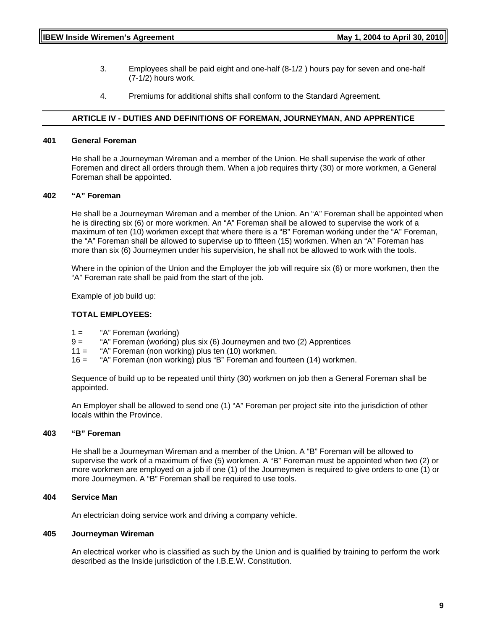- 3. Employees shall be paid eight and one-half (8-1/2 ) hours pay for seven and one-half (7-1/2) hours work.
- 4. Premiums for additional shifts shall conform to the Standard Agreement.

#### **ARTICLE IV - DUTIES AND DEFINITIONS OF FOREMAN, JOURNEYMAN, AND APPRENTICE**

#### **401 General Foreman**

He shall be a Journeyman Wireman and a member of the Union. He shall supervise the work of other Foremen and direct all orders through them. When a job requires thirty (30) or more workmen, a General Foreman shall be appointed.

#### **402 "A" Foreman**

He shall be a Journeyman Wireman and a member of the Union. An "A" Foreman shall be appointed when he is directing six (6) or more workmen. An "A" Foreman shall be allowed to supervise the work of a maximum of ten (10) workmen except that where there is a "B" Foreman working under the "A" Foreman, the "A" Foreman shall be allowed to supervise up to fifteen (15) workmen. When an "A" Foreman has more than six (6) Journeymen under his supervision, he shall not be allowed to work with the tools.

Where in the opinion of the Union and the Employer the job will require six (6) or more workmen, then the "A" Foreman rate shall be paid from the start of the job.

Example of job build up:

#### **TOTAL EMPLOYEES:**

- 1 = "A" Foreman (working)
- 9 = "A" Foreman (working) plus six (6) Journeymen and two (2) Apprentices
- 11 = "A" Foreman (non working) plus ten (10) workmen.
- 16 = "A" Foreman (non working) plus "B" Foreman and fourteen (14) workmen.

Sequence of build up to be repeated until thirty (30) workmen on job then a General Foreman shall be appointed.

An Employer shall be allowed to send one (1) "A" Foreman per project site into the jurisdiction of other locals within the Province.

#### **403 "B" Foreman**

He shall be a Journeyman Wireman and a member of the Union. A "B" Foreman will be allowed to supervise the work of a maximum of five (5) workmen. A "B" Foreman must be appointed when two (2) or more workmen are employed on a job if one (1) of the Journeymen is required to give orders to one (1) or more Journeymen. A "B" Foreman shall be required to use tools.

#### **404 Service Man**

An electrician doing service work and driving a company vehicle.

#### **405 Journeyman Wireman**

An electrical worker who is classified as such by the Union and is qualified by training to perform the work described as the Inside jurisdiction of the I.B.E.W. Constitution.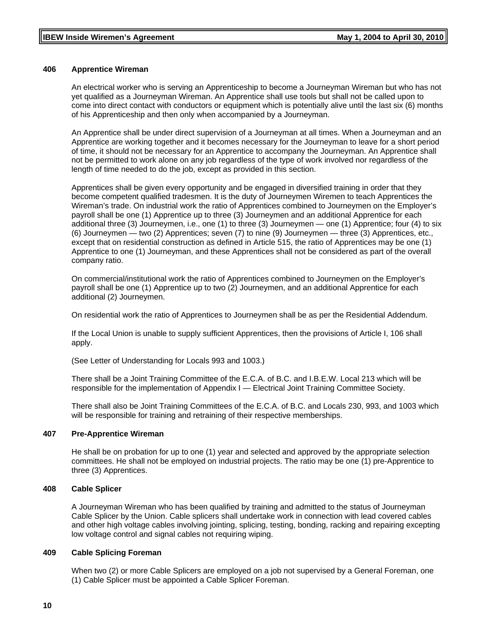#### **406 Apprentice Wireman**

An electrical worker who is serving an Apprenticeship to become a Journeyman Wireman but who has not yet qualified as a Journeyman Wireman. An Apprentice shall use tools but shall not be called upon to come into direct contact with conductors or equipment which is potentially alive until the last six (6) months of his Apprenticeship and then only when accompanied by a Journeyman.

An Apprentice shall be under direct supervision of a Journeyman at all times. When a Journeyman and an Apprentice are working together and it becomes necessary for the Journeyman to leave for a short period of time, it should not be necessary for an Apprentice to accompany the Journeyman. An Apprentice shall not be permitted to work alone on any job regardless of the type of work involved nor regardless of the length of time needed to do the job, except as provided in this section.

Apprentices shall be given every opportunity and be engaged in diversified training in order that they become competent qualified tradesmen. It is the duty of Journeymen Wiremen to teach Apprentices the Wireman's trade. On industrial work the ratio of Apprentices combined to Journeymen on the Employer's payroll shall be one (1) Apprentice up to three (3) Journeymen and an additional Apprentice for each additional three (3) Journeymen, i.e., one (1) to three (3) Journeymen — one (1) Apprentice; four (4) to six (6) Journeymen — two (2) Apprentices; seven (7) to nine (9) Journeymen — three (3) Apprentices, etc., except that on residential construction as defined in Article 515, the ratio of Apprentices may be one (1) Apprentice to one (1) Journeyman, and these Apprentices shall not be considered as part of the overall company ratio.

On commercial/institutional work the ratio of Apprentices combined to Journeymen on the Employer's payroll shall be one (1) Apprentice up to two (2) Journeymen, and an additional Apprentice for each additional (2) Journeymen.

On residential work the ratio of Apprentices to Journeymen shall be as per the Residential Addendum.

If the Local Union is unable to supply sufficient Apprentices, then the provisions of Article I, 106 shall apply.

(See Letter of Understanding for Locals 993 and 1003.)

There shall be a Joint Training Committee of the E.C.A. of B.C. and I.B.E.W. Local 213 which will be responsible for the implementation of Appendix I — Electrical Joint Training Committee Society.

There shall also be Joint Training Committees of the E.C.A. of B.C. and Locals 230, 993, and 1003 which will be responsible for training and retraining of their respective memberships.

#### **407 Pre-Apprentice Wireman**

He shall be on probation for up to one (1) year and selected and approved by the appropriate selection committees. He shall not be employed on industrial projects. The ratio may be one (1) pre-Apprentice to three (3) Apprentices.

#### **408 Cable Splicer**

A Journeyman Wireman who has been qualified by training and admitted to the status of Journeyman Cable Splicer by the Union. Cable splicers shall undertake work in connection with lead covered cables and other high voltage cables involving jointing, splicing, testing, bonding, racking and repairing excepting low voltage control and signal cables not requiring wiping.

#### **409 Cable Splicing Foreman**

When two (2) or more Cable Splicers are employed on a job not supervised by a General Foreman, one (1) Cable Splicer must be appointed a Cable Splicer Foreman.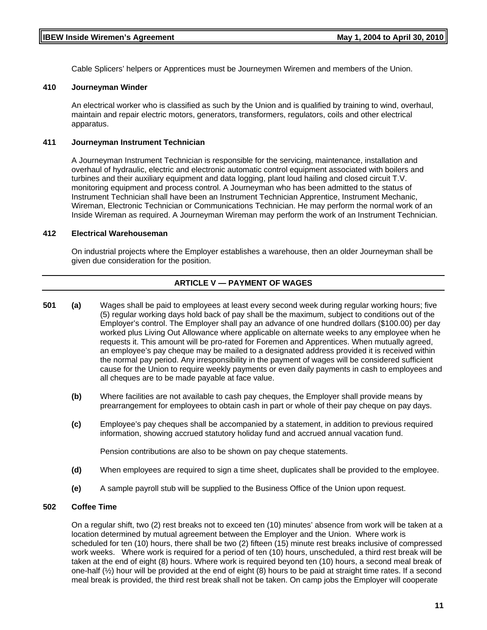Cable Splicers' helpers or Apprentices must be Journeymen Wiremen and members of the Union.

#### **410 Journeyman Winder**

An electrical worker who is classified as such by the Union and is qualified by training to wind, overhaul, maintain and repair electric motors, generators, transformers, regulators, coils and other electrical apparatus.

#### **411 Journeyman Instrument Technician**

A Journeyman Instrument Technician is responsible for the servicing, maintenance, installation and overhaul of hydraulic, electric and electronic automatic control equipment associated with boilers and turbines and their auxiliary equipment and data logging, plant loud hailing and closed circuit T.V. monitoring equipment and process control. A Journeyman who has been admitted to the status of Instrument Technician shall have been an Instrument Technician Apprentice, Instrument Mechanic, Wireman, Electronic Technician or Communications Technician. He may perform the normal work of an Inside Wireman as required. A Journeyman Wireman may perform the work of an Instrument Technician.

#### **412 Electrical Warehouseman**

On industrial projects where the Employer establishes a warehouse, then an older Journeyman shall be given due consideration for the position.

# **ARTICLE V — PAYMENT OF WAGES**

- **501 (a)** Wages shall be paid to employees at least every second week during regular working hours; five (5) regular working days hold back of pay shall be the maximum, subject to conditions out of the Employer's control. The Employer shall pay an advance of one hundred dollars (\$100.00) per day worked plus Living Out Allowance where applicable on alternate weeks to any employee when he requests it. This amount will be pro-rated for Foremen and Apprentices. When mutually agreed, an employee's pay cheque may be mailed to a designated address provided it is received within the normal pay period. Any irresponsibility in the payment of wages will be considered sufficient cause for the Union to require weekly payments or even daily payments in cash to employees and all cheques are to be made payable at face value.
	- **(b)** Where facilities are not available to cash pay cheques, the Employer shall provide means by prearrangement for employees to obtain cash in part or whole of their pay cheque on pay days.
	- **(c)** Employee's pay cheques shall be accompanied by a statement, in addition to previous required information, showing accrued statutory holiday fund and accrued annual vacation fund.

Pension contributions are also to be shown on pay cheque statements.

- **(d)** When employees are required to sign a time sheet, duplicates shall be provided to the employee.
- **(e)** A sample payroll stub will be supplied to the Business Office of the Union upon request.

#### **502 Coffee Time**

On a regular shift, two (2) rest breaks not to exceed ten (10) minutes' absence from work will be taken at a location determined by mutual agreement between the Employer and the Union. Where work is scheduled for ten (10) hours, there shall be two (2) fifteen (15) minute rest breaks inclusive of compressed work weeks. Where work is required for a period of ten (10) hours, unscheduled, a third rest break will be taken at the end of eight (8) hours. Where work is required beyond ten (10) hours, a second meal break of one-half (½) hour will be provided at the end of eight (8) hours to be paid at straight time rates. If a second meal break is provided, the third rest break shall not be taken. On camp jobs the Employer will cooperate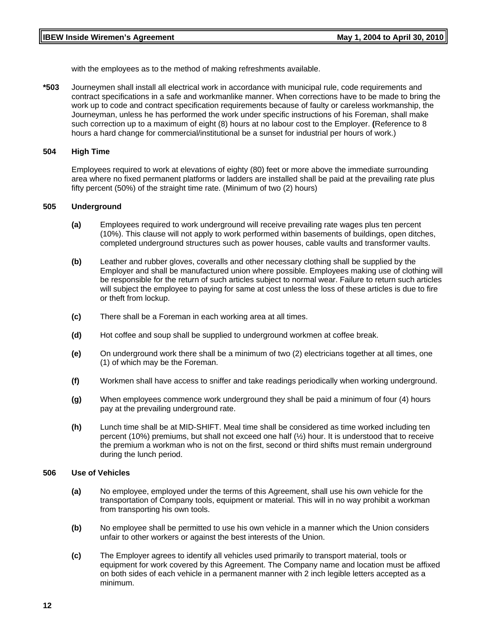with the employees as to the method of making refreshments available.

**\*503** Journeymen shall install all electrical work in accordance with municipal rule, code requirements and contract specifications in a safe and workmanlike manner. When corrections have to be made to bring the work up to code and contract specification requirements because of faulty or careless workmanship, the Journeyman, unless he has performed the work under specific instructions of his Foreman, shall make such correction up to a maximum of eight (8) hours at no labour cost to the Employer. **(**Reference to 8 hours a hard change for commercial/institutional be a sunset for industrial per hours of work.)

#### **504 High Time**

Employees required to work at elevations of eighty (80) feet or more above the immediate surrounding area where no fixed permanent platforms or ladders are installed shall be paid at the prevailing rate plus fifty percent (50%) of the straight time rate. (Minimum of two (2) hours)

#### **505 Underground**

- **(a)** Employees required to work underground will receive prevailing rate wages plus ten percent (10%). This clause will not apply to work performed within basements of buildings, open ditches, completed underground structures such as power houses, cable vaults and transformer vaults.
- **(b)** Leather and rubber gloves, coveralls and other necessary clothing shall be supplied by the Employer and shall be manufactured union where possible. Employees making use of clothing will be responsible for the return of such articles subject to normal wear. Failure to return such articles will subject the employee to paying for same at cost unless the loss of these articles is due to fire or theft from lockup.
- **(c)** There shall be a Foreman in each working area at all times.
- **(d)** Hot coffee and soup shall be supplied to underground workmen at coffee break.
- **(e)** On underground work there shall be a minimum of two (2) electricians together at all times, one (1) of which may be the Foreman.
- **(f)** Workmen shall have access to sniffer and take readings periodically when working underground.
- **(g)** When employees commence work underground they shall be paid a minimum of four (4) hours pay at the prevailing underground rate.
- **(h)** Lunch time shall be at MID-SHIFT. Meal time shall be considered as time worked including ten percent (10%) premiums, but shall not exceed one half (½) hour. It is understood that to receive the premium a workman who is not on the first, second or third shifts must remain underground during the lunch period.

#### **506 Use of Vehicles**

- **(a)** No employee, employed under the terms of this Agreement, shall use his own vehicle for the transportation of Company tools, equipment or material. This will in no way prohibit a workman from transporting his own tools.
- **(b)** No employee shall be permitted to use his own vehicle in a manner which the Union considers unfair to other workers or against the best interests of the Union.
- **(c)** The Employer agrees to identify all vehicles used primarily to transport material, tools or equipment for work covered by this Agreement. The Company name and location must be affixed on both sides of each vehicle in a permanent manner with 2 inch legible letters accepted as a minimum.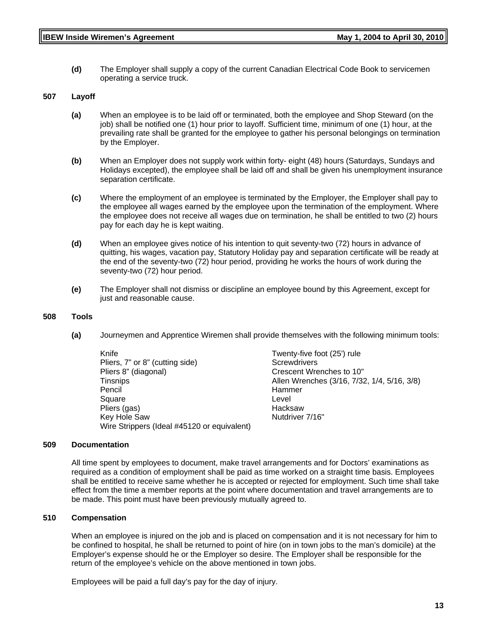**(d)** The Employer shall supply a copy of the current Canadian Electrical Code Book to servicemen operating a service truck.

#### **507 Layoff**

- **(a)** When an employee is to be laid off or terminated, both the employee and Shop Steward (on the job) shall be notified one (1) hour prior to layoff. Sufficient time, minimum of one (1) hour, at the prevailing rate shall be granted for the employee to gather his personal belongings on termination by the Employer.
- **(b)** When an Employer does not supply work within forty- eight (48) hours (Saturdays, Sundays and Holidays excepted), the employee shall be laid off and shall be given his unemployment insurance separation certificate.
- **(c)** Where the employment of an employee is terminated by the Employer, the Employer shall pay to the employee all wages earned by the employee upon the termination of the employment. Where the employee does not receive all wages due on termination, he shall be entitled to two (2) hours pay for each day he is kept waiting.
- **(d)** When an employee gives notice of his intention to quit seventy-two (72) hours in advance of quitting, his wages, vacation pay, Statutory Holiday pay and separation certificate will be ready at the end of the seventy-two (72) hour period, providing he works the hours of work during the seventy-two (72) hour period.
- **(e)** The Employer shall not dismiss or discipline an employee bound by this Agreement, except for just and reasonable cause.

#### **508 Tools**

**(a)** Journeymen and Apprentice Wiremen shall provide themselves with the following minimum tools:

| Knife                                       | Twenty-five foot (25') rule                 |
|---------------------------------------------|---------------------------------------------|
| Pliers, 7" or 8" (cutting side)             | Screwdrivers                                |
| Pliers 8" (diagonal)                        | Crescent Wrenches to 10"                    |
| <b>Tinsnips</b>                             | Allen Wrenches (3/16, 7/32, 1/4, 5/16, 3/8) |
| Pencil                                      | Hammer                                      |
| Square                                      | Level                                       |
| Pliers (gas)                                | Hacksaw                                     |
| Key Hole Saw                                | Nutdriver 7/16"                             |
| Wire Strippers (Ideal #45120 or equivalent) |                                             |

#### **509 Documentation**

All time spent by employees to document, make travel arrangements and for Doctors' examinations as required as a condition of employment shall be paid as time worked on a straight time basis. Employees shall be entitled to receive same whether he is accepted or rejected for employment. Such time shall take effect from the time a member reports at the point where documentation and travel arrangements are to be made. This point must have been previously mutually agreed to.

#### **510 Compensation**

When an employee is injured on the job and is placed on compensation and it is not necessary for him to be confined to hospital, he shall be returned to point of hire (on in town jobs to the man's domicile) at the Employer's expense should he or the Employer so desire. The Employer shall be responsible for the return of the employee's vehicle on the above mentioned in town jobs.

Employees will be paid a full day's pay for the day of injury.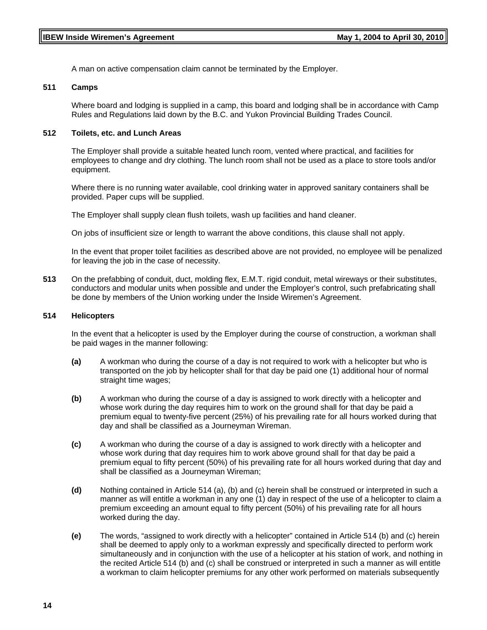A man on active compensation claim cannot be terminated by the Employer.

#### **511 Camps**

Where board and lodging is supplied in a camp, this board and lodging shall be in accordance with Camp Rules and Regulations laid down by the B.C. and Yukon Provincial Building Trades Council.

#### **512 Toilets, etc. and Lunch Areas**

The Employer shall provide a suitable heated lunch room, vented where practical, and facilities for employees to change and dry clothing. The lunch room shall not be used as a place to store tools and/or equipment.

Where there is no running water available, cool drinking water in approved sanitary containers shall be provided. Paper cups will be supplied.

The Employer shall supply clean flush toilets, wash up facilities and hand cleaner.

On jobs of insufficient size or length to warrant the above conditions, this clause shall not apply.

In the event that proper toilet facilities as described above are not provided, no employee will be penalized for leaving the job in the case of necessity.

**513** On the prefabbing of conduit, duct, molding flex, E.M.T. rigid conduit, metal wireways or their substitutes, conductors and modular units when possible and under the Employer's control, such prefabricating shall be done by members of the Union working under the Inside Wiremen's Agreement.

#### **514 Helicopters**

In the event that a helicopter is used by the Employer during the course of construction, a workman shall be paid wages in the manner following:

- **(a)** A workman who during the course of a day is not required to work with a helicopter but who is transported on the job by helicopter shall for that day be paid one (1) additional hour of normal straight time wages;
- **(b)** A workman who during the course of a day is assigned to work directly with a helicopter and whose work during the day requires him to work on the ground shall for that day be paid a premium equal to twenty-five percent (25%) of his prevailing rate for all hours worked during that day and shall be classified as a Journeyman Wireman.
- **(c)** A workman who during the course of a day is assigned to work directly with a helicopter and whose work during that day requires him to work above ground shall for that day be paid a premium equal to fifty percent (50%) of his prevailing rate for all hours worked during that day and shall be classified as a Journeyman Wireman;
- **(d)** Nothing contained in Article 514 (a), (b) and (c) herein shall be construed or interpreted in such a manner as will entitle a workman in any one (1) day in respect of the use of a helicopter to claim a premium exceeding an amount equal to fifty percent (50%) of his prevailing rate for all hours worked during the day.
- **(e)** The words, "assigned to work directly with a helicopter" contained in Article 514 (b) and (c) herein shall be deemed to apply only to a workman expressly and specifically directed to perform work simultaneously and in conjunction with the use of a helicopter at his station of work, and nothing in the recited Article 514 (b) and (c) shall be construed or interpreted in such a manner as will entitle a workman to claim helicopter premiums for any other work performed on materials subsequently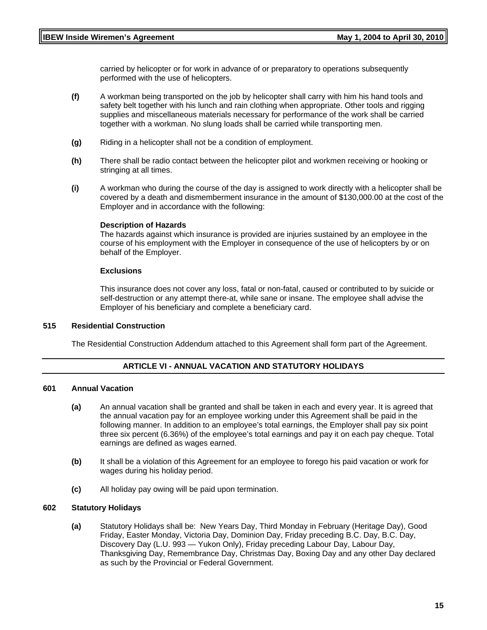carried by helicopter or for work in advance of or preparatory to operations subsequently performed with the use of helicopters.

- **(f)** A workman being transported on the job by helicopter shall carry with him his hand tools and safety belt together with his lunch and rain clothing when appropriate. Other tools and rigging supplies and miscellaneous materials necessary for performance of the work shall be carried together with a workman. No slung loads shall be carried while transporting men.
- **(g)** Riding in a helicopter shall not be a condition of employment.
- **(h)** There shall be radio contact between the helicopter pilot and workmen receiving or hooking or stringing at all times.
- **(i)** A workman who during the course of the day is assigned to work directly with a helicopter shall be covered by a death and dismemberment insurance in the amount of \$130,000.00 at the cost of the Employer and in accordance with the following:

#### **Description of Hazards**

The hazards against which insurance is provided are injuries sustained by an employee in the course of his employment with the Employer in consequence of the use of helicopters by or on behalf of the Employer.

#### **Exclusions**

This insurance does not cover any loss, fatal or non-fatal, caused or contributed to by suicide or self-destruction or any attempt there-at, while sane or insane. The employee shall advise the Employer of his beneficiary and complete a beneficiary card.

#### **515 Residential Construction**

The Residential Construction Addendum attached to this Agreement shall form part of the Agreement.

#### **ARTICLE VI - ANNUAL VACATION AND STATUTORY HOLIDAYS**

#### **601 Annual Vacation**

- **(a)** An annual vacation shall be granted and shall be taken in each and every year. It is agreed that the annual vacation pay for an employee working under this Agreement shall be paid in the following manner. In addition to an employee's total earnings, the Employer shall pay six point three six percent (6.36%) of the employee's total earnings and pay it on each pay cheque. Total earnings are defined as wages earned.
- **(b)** It shall be a violation of this Agreement for an employee to forego his paid vacation or work for wages during his holiday period.
- **(c)** All holiday pay owing will be paid upon termination.

#### **602 Statutory Holidays**

**(a)** Statutory Holidays shall be: New Years Day, Third Monday in February (Heritage Day), Good Friday, Easter Monday, Victoria Day, Dominion Day, Friday preceding B.C. Day, B.C. Day, Discovery Day (L.U. 993 — Yukon Only), Friday preceding Labour Day, Labour Day, Thanksgiving Day, Remembrance Day, Christmas Day, Boxing Day and any other Day declared as such by the Provincial or Federal Government.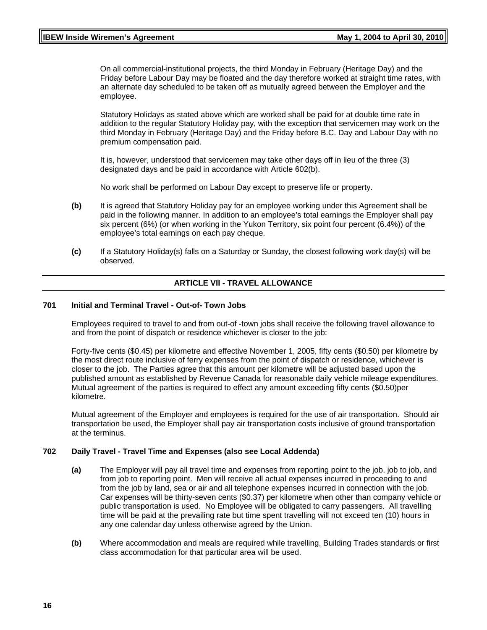#### **IBEW Inside Wiremen's Agreement Constrained Act 2004 to April 30, 2010**

On all commercial-institutional projects, the third Monday in February (Heritage Day) and the Friday before Labour Day may be floated and the day therefore worked at straight time rates, with an alternate day scheduled to be taken off as mutually agreed between the Employer and the employee.

Statutory Holidays as stated above which are worked shall be paid for at double time rate in addition to the regular Statutory Holiday pay, with the exception that servicemen may work on the third Monday in February (Heritage Day) and the Friday before B.C. Day and Labour Day with no premium compensation paid.

It is, however, understood that servicemen may take other days off in lieu of the three (3) designated days and be paid in accordance with Article 602(b).

No work shall be performed on Labour Day except to preserve life or property.

- **(b)** It is agreed that Statutory Holiday pay for an employee working under this Agreement shall be paid in the following manner. In addition to an employee's total earnings the Employer shall pay six percent (6%) (or when working in the Yukon Territory, six point four percent (6.4%)) of the employee's total earnings on each pay cheque.
- **(c)** If a Statutory Holiday(s) falls on a Saturday or Sunday, the closest following work day(s) will be observed.

#### **ARTICLE VII - TRAVEL ALLOWANCE**

#### **701 Initial and Terminal Travel - Out-of- Town Jobs**

Employees required to travel to and from out-of -town jobs shall receive the following travel allowance to and from the point of dispatch or residence whichever is closer to the job:

Forty-five cents (\$0.45) per kilometre and effective November 1, 2005, fifty cents (\$0.50) per kilometre by the most direct route inclusive of ferry expenses from the point of dispatch or residence, whichever is closer to the job. The Parties agree that this amount per kilometre will be adjusted based upon the published amount as established by Revenue Canada for reasonable daily vehicle mileage expenditures. Mutual agreement of the parties is required to effect any amount exceeding fifty cents (\$0.50)per kilometre.

Mutual agreement of the Employer and employees is required for the use of air transportation. Should air transportation be used, the Employer shall pay air transportation costs inclusive of ground transportation at the terminus.

#### **702 Daily Travel - Travel Time and Expenses (also see Local Addenda)**

- **(a)** The Employer will pay all travel time and expenses from reporting point to the job, job to job, and from job to reporting point. Men will receive all actual expenses incurred in proceeding to and from the job by land, sea or air and all telephone expenses incurred in connection with the job. Car expenses will be thirty-seven cents (\$0.37) per kilometre when other than company vehicle or public transportation is used. No Employee will be obligated to carry passengers. All travelling time will be paid at the prevailing rate but time spent travelling will not exceed ten (10) hours in any one calendar day unless otherwise agreed by the Union.
- **(b)** Where accommodation and meals are required while travelling, Building Trades standards or first class accommodation for that particular area will be used.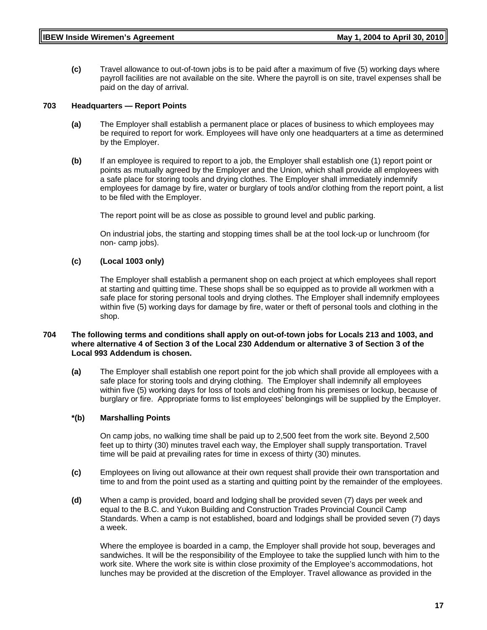**(c)** Travel allowance to out-of-town jobs is to be paid after a maximum of five (5) working days where payroll facilities are not available on the site. Where the payroll is on site, travel expenses shall be paid on the day of arrival.

#### **703 Headquarters — Report Points**

- **(a)** The Employer shall establish a permanent place or places of business to which employees may be required to report for work. Employees will have only one headquarters at a time as determined by the Employer.
- **(b)** If an employee is required to report to a job, the Employer shall establish one (1) report point or points as mutually agreed by the Employer and the Union, which shall provide all employees with a safe place for storing tools and drying clothes. The Employer shall immediately indemnify employees for damage by fire, water or burglary of tools and/or clothing from the report point, a list to be filed with the Employer.

The report point will be as close as possible to ground level and public parking.

On industrial jobs, the starting and stopping times shall be at the tool lock-up or lunchroom (for non- camp jobs).

#### **(c) (Local 1003 only)**

The Employer shall establish a permanent shop on each project at which employees shall report at starting and quitting time. These shops shall be so equipped as to provide all workmen with a safe place for storing personal tools and drying clothes. The Employer shall indemnify employees within five (5) working days for damage by fire, water or theft of personal tools and clothing in the shop.

#### **704 The following terms and conditions shall apply on out-of-town jobs for Locals 213 and 1003, and where alternative 4 of Section 3 of the Local 230 Addendum or alternative 3 of Section 3 of the Local 993 Addendum is chosen.**

**(a)** The Employer shall establish one report point for the job which shall provide all employees with a safe place for storing tools and drying clothing. The Employer shall indemnify all employees within five (5) working days for loss of tools and clothing from his premises or lockup, because of burglary or fire. Appropriate forms to list employees' belongings will be supplied by the Employer.

#### **\*(b) Marshalling Points**

On camp jobs, no walking time shall be paid up to 2,500 feet from the work site. Beyond 2,500 feet up to thirty (30) minutes travel each way, the Employer shall supply transportation. Travel time will be paid at prevailing rates for time in excess of thirty (30) minutes.

- **(c)** Employees on living out allowance at their own request shall provide their own transportation and time to and from the point used as a starting and quitting point by the remainder of the employees.
- **(d)** When a camp is provided, board and lodging shall be provided seven (7) days per week and equal to the B.C. and Yukon Building and Construction Trades Provincial Council Camp Standards. When a camp is not established, board and lodgings shall be provided seven (7) days a week.

Where the employee is boarded in a camp, the Employer shall provide hot soup, beverages and sandwiches. It will be the responsibility of the Employee to take the supplied lunch with him to the work site. Where the work site is within close proximity of the Employee's accommodations, hot lunches may be provided at the discretion of the Employer. Travel allowance as provided in the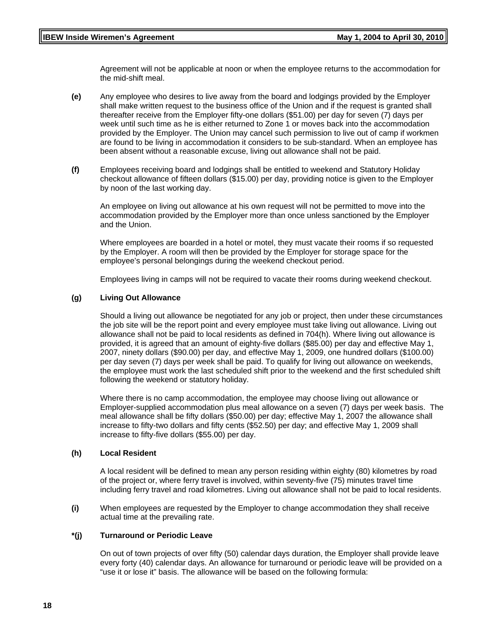Agreement will not be applicable at noon or when the employee returns to the accommodation for the mid-shift meal.

- **(e)** Any employee who desires to live away from the board and lodgings provided by the Employer shall make written request to the business office of the Union and if the request is granted shall thereafter receive from the Employer fifty-one dollars (\$51.00) per day for seven (7) days per week until such time as he is either returned to Zone 1 or moves back into the accommodation provided by the Employer. The Union may cancel such permission to live out of camp if workmen are found to be living in accommodation it considers to be sub-standard. When an employee has been absent without a reasonable excuse, living out allowance shall not be paid.
- **(f)** Employees receiving board and lodgings shall be entitled to weekend and Statutory Holiday checkout allowance of fifteen dollars (\$15.00) per day, providing notice is given to the Employer by noon of the last working day.

An employee on living out allowance at his own request will not be permitted to move into the accommodation provided by the Employer more than once unless sanctioned by the Employer and the Union.

Where employees are boarded in a hotel or motel, they must vacate their rooms if so requested by the Employer. A room will then be provided by the Employer for storage space for the employee's personal belongings during the weekend checkout period.

Employees living in camps will not be required to vacate their rooms during weekend checkout.

#### **(g) Living Out Allowance**

Should a living out allowance be negotiated for any job or project, then under these circumstances the job site will be the report point and every employee must take living out allowance. Living out allowance shall not be paid to local residents as defined in 704(h). Where living out allowance is provided, it is agreed that an amount of eighty-five dollars (\$85.00) per day and effective May 1, 2007, ninety dollars (\$90.00) per day, and effective May 1, 2009, one hundred dollars (\$100.00) per day seven (7) days per week shall be paid. To qualify for living out allowance on weekends, the employee must work the last scheduled shift prior to the weekend and the first scheduled shift following the weekend or statutory holiday.

Where there is no camp accommodation, the employee may choose living out allowance or Employer-supplied accommodation plus meal allowance on a seven (7) days per week basis. The meal allowance shall be fifty dollars (\$50.00) per day; effective May 1, 2007 the allowance shall increase to fifty-two dollars and fifty cents (\$52.50) per day; and effective May 1, 2009 shall increase to fifty-five dollars (\$55.00) per day.

#### **(h) Local Resident**

A local resident will be defined to mean any person residing within eighty (80) kilometres by road of the project or, where ferry travel is involved, within seventy-five (75) minutes travel time including ferry travel and road kilometres. Living out allowance shall not be paid to local residents.

**(i)** When employees are requested by the Employer to change accommodation they shall receive actual time at the prevailing rate.

#### **\*(j) Turnaround or Periodic Leave**

On out of town projects of over fifty (50) calendar days duration, the Employer shall provide leave every forty (40) calendar days. An allowance for turnaround or periodic leave will be provided on a "use it or lose it" basis. The allowance will be based on the following formula: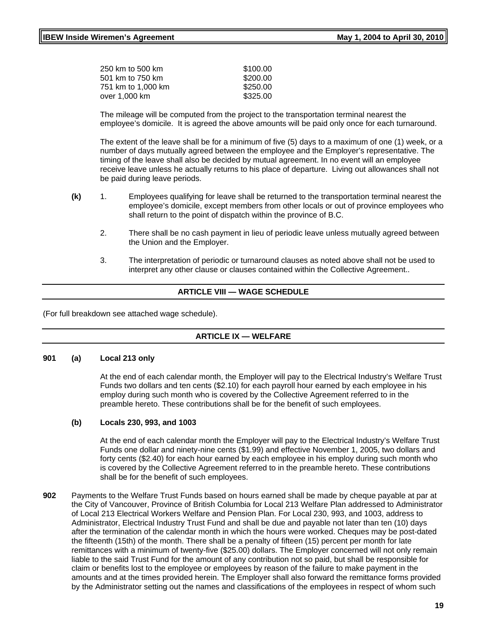| 250 km to 500 km   | \$100.00 |
|--------------------|----------|
| 501 km to 750 km   | \$200.00 |
| 751 km to 1.000 km | \$250.00 |
| over 1.000 km      | \$325.00 |
|                    |          |

The mileage will be computed from the project to the transportation terminal nearest the employee's domicile. It is agreed the above amounts will be paid only once for each turnaround.

The extent of the leave shall be for a minimum of five (5) days to a maximum of one (1) week, or a number of days mutually agreed between the employee and the Employer's representative. The timing of the leave shall also be decided by mutual agreement. In no event will an employee receive leave unless he actually returns to his place of departure. Living out allowances shall not be paid during leave periods.

- **(k)** 1. Employees qualifying for leave shall be returned to the transportation terminal nearest the employee's domicile, except members from other locals or out of province employees who shall return to the point of dispatch within the province of B.C.
	- 2. There shall be no cash payment in lieu of periodic leave unless mutually agreed between the Union and the Employer.
	- 3. The interpretation of periodic or turnaround clauses as noted above shall not be used to interpret any other clause or clauses contained within the Collective Agreement..

# **ARTICLE VIII — WAGE SCHEDULE**

(For full breakdown see attached wage schedule).

#### **ARTICLE IX — WELFARE**

#### **901 (a) Local 213 only**

At the end of each calendar month, the Employer will pay to the Electrical Industry's Welfare Trust Funds two dollars and ten cents (\$2.10) for each payroll hour earned by each employee in his employ during such month who is covered by the Collective Agreement referred to in the preamble hereto. These contributions shall be for the benefit of such employees.

#### **(b) Locals 230, 993, and 1003**

At the end of each calendar month the Employer will pay to the Electrical Industry's Welfare Trust Funds one dollar and ninety-nine cents (\$1.99) and effective November 1, 2005, two dollars and forty cents (\$2.40) for each hour earned by each employee in his employ during such month who is covered by the Collective Agreement referred to in the preamble hereto. These contributions shall be for the benefit of such employees.

**902** Payments to the Welfare Trust Funds based on hours earned shall be made by cheque payable at par at the City of Vancouver, Province of British Columbia for Local 213 Welfare Plan addressed to Administrator of Local 213 Electrical Workers Welfare and Pension Plan. For Local 230, 993, and 1003, address to Administrator, Electrical Industry Trust Fund and shall be due and payable not later than ten (10) days after the termination of the calendar month in which the hours were worked. Cheques may be post-dated the fifteenth (15th) of the month. There shall be a penalty of fifteen (15) percent per month for late remittances with a minimum of twenty-five (\$25.00) dollars. The Employer concerned will not only remain liable to the said Trust Fund for the amount of any contribution not so paid, but shall be responsible for claim or benefits lost to the employee or employees by reason of the failure to make payment in the amounts and at the times provided herein. The Employer shall also forward the remittance forms provided by the Administrator setting out the names and classifications of the employees in respect of whom such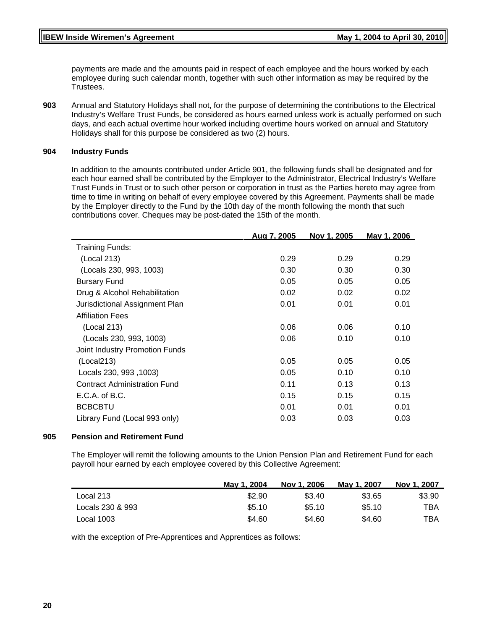payments are made and the amounts paid in respect of each employee and the hours worked by each employee during such calendar month, together with such other information as may be required by the Trustees.

**903** Annual and Statutory Holidays shall not, for the purpose of determining the contributions to the Electrical Industry's Welfare Trust Funds, be considered as hours earned unless work is actually performed on such days, and each actual overtime hour worked including overtime hours worked on annual and Statutory Holidays shall for this purpose be considered as two (2) hours.

#### **904 Industry Funds**

In addition to the amounts contributed under Article 901, the following funds shall be designated and for each hour earned shall be contributed by the Employer to the Administrator, Electrical Industry's Welfare Trust Funds in Trust or to such other person or corporation in trust as the Parties hereto may agree from time to time in writing on behalf of every employee covered by this Agreement. Payments shall be made by the Employer directly to the Fund by the 10th day of the month following the month that such contributions cover. Cheques may be post-dated the 15th of the month.

|                                     | <u>Aua 7. 2005</u> | Nov 1, 2005 | Mav 1. 2006 |
|-------------------------------------|--------------------|-------------|-------------|
| Training Funds:                     |                    |             |             |
| (Local 213)                         | 0.29               | 0.29        | 0.29        |
| (Locals 230, 993, 1003)             | 0.30               | 0.30        | 0.30        |
| <b>Bursary Fund</b>                 | 0.05               | 0.05        | 0.05        |
| Drug & Alcohol Rehabilitation       | 0.02               | 0.02        | 0.02        |
| Jurisdictional Assignment Plan      | 0.01               | 0.01        | 0.01        |
| <b>Affiliation Fees</b>             |                    |             |             |
| (Local 213)                         | 0.06               | 0.06        | 0.10        |
| (Locals 230, 993, 1003)             | 0.06               | 0.10        | 0.10        |
| Joint Industry Promotion Funds      |                    |             |             |
| (Local213)                          | 0.05               | 0.05        | 0.05        |
| Locals 230, 993, 1003)              | 0.05               | 0.10        | 0.10        |
| <b>Contract Administration Fund</b> | 0.11               | 0.13        | 0.13        |
| E.C.A. of B.C.                      | 0.15               | 0.15        | 0.15        |
| <b>BCBCBTU</b>                      | 0.01               | 0.01        | 0.01        |
| Library Fund (Local 993 only)       | 0.03               | 0.03        | 0.03        |

#### **905 Pension and Retirement Fund**

The Employer will remit the following amounts to the Union Pension Plan and Retirement Fund for each payroll hour earned by each employee covered by this Collective Agreement:

|                  | May 1, 2004 | Nov 1, 2006 | May 1, 2007 | Nov 1, 2007 |
|------------------|-------------|-------------|-------------|-------------|
| Local 213        | \$2.90      | \$3.40      | \$3.65      | \$3.90      |
| Locals 230 & 993 | \$5.10      | \$5.10      | \$5.10      | TBA         |
| Local 1003       | \$4.60      | \$4.60      | \$4.60      | TBA         |

with the exception of Pre-Apprentices and Apprentices as follows: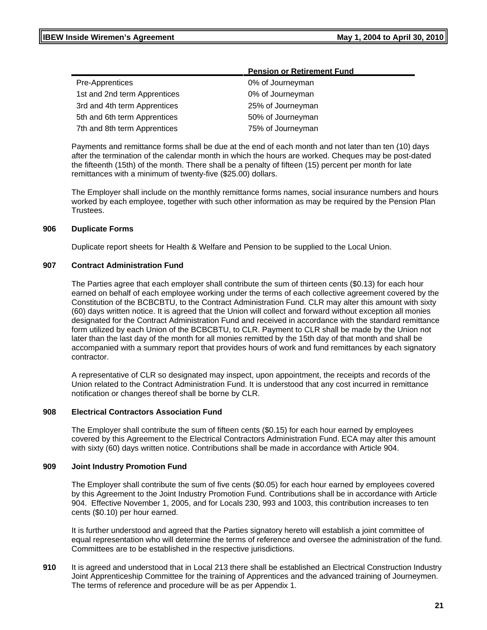|                              | <b>Pension or Retirement Fund</b> |  |
|------------------------------|-----------------------------------|--|
| Pre-Apprentices              | 0% of Journeyman                  |  |
| 1st and 2nd term Apprentices | 0% of Journeyman                  |  |
| 3rd and 4th term Apprentices | 25% of Journeyman                 |  |
| 5th and 6th term Apprentices | 50% of Journeyman                 |  |
| 7th and 8th term Apprentices | 75% of Journeyman                 |  |
|                              |                                   |  |

Payments and remittance forms shall be due at the end of each month and not later than ten (10) days after the termination of the calendar month in which the hours are worked. Cheques may be post-dated the fifteenth (15th) of the month. There shall be a penalty of fifteen (15) percent per month for late remittances with a minimum of twenty-five (\$25.00) dollars.

The Employer shall include on the monthly remittance forms names, social insurance numbers and hours worked by each employee, together with such other information as may be required by the Pension Plan Trustees.

#### **906 Duplicate Forms**

Duplicate report sheets for Health & Welfare and Pension to be supplied to the Local Union.

#### **907 Contract Administration Fund**

The Parties agree that each employer shall contribute the sum of thirteen cents (\$0.13) for each hour earned on behalf of each employee working under the terms of each collective agreement covered by the Constitution of the BCBCBTU, to the Contract Administration Fund. CLR may alter this amount with sixty (60) days written notice. It is agreed that the Union will collect and forward without exception all monies designated for the Contract Administration Fund and received in accordance with the standard remittance form utilized by each Union of the BCBCBTU, to CLR. Payment to CLR shall be made by the Union not later than the last day of the month for all monies remitted by the 15th day of that month and shall be accompanied with a summary report that provides hours of work and fund remittances by each signatory contractor.

A representative of CLR so designated may inspect, upon appointment, the receipts and records of the Union related to the Contract Administration Fund. It is understood that any cost incurred in remittance notification or changes thereof shall be borne by CLR.

#### **908 Electrical Contractors Association Fund**

The Employer shall contribute the sum of fifteen cents (\$0.15) for each hour earned by employees covered by this Agreement to the Electrical Contractors Administration Fund. ECA may alter this amount with sixty (60) days written notice. Contributions shall be made in accordance with Article 904.

#### **909 Joint Industry Promotion Fund**

The Employer shall contribute the sum of five cents (\$0.05) for each hour earned by employees covered by this Agreement to the Joint Industry Promotion Fund. Contributions shall be in accordance with Article 904.Effective November 1, 2005, and for Locals 230, 993 and 1003, this contribution increases to ten cents (\$0.10) per hour earned.

It is further understood and agreed that the Parties signatory hereto will establish a joint committee of equal representation who will determine the terms of reference and oversee the administration of the fund. Committees are to be established in the respective jurisdictions.

**910** It is agreed and understood that in Local 213 there shall be established an Electrical Construction Industry Joint Apprenticeship Committee for the training of Apprentices and the advanced training of Journeymen. The terms of reference and procedure will be as per Appendix 1.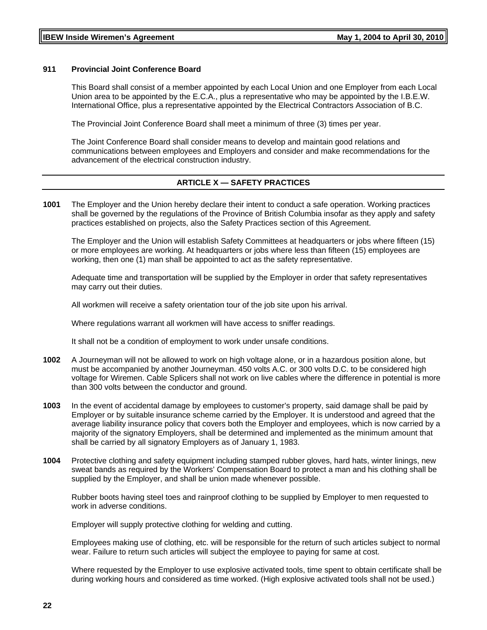#### **911 Provincial Joint Conference Board**

This Board shall consist of a member appointed by each Local Union and one Employer from each Local Union area to be appointed by the E.C.A., plus a representative who may be appointed by the I.B.E.W. International Office, plus a representative appointed by the Electrical Contractors Association of B.C.

The Provincial Joint Conference Board shall meet a minimum of three (3) times per year.

The Joint Conference Board shall consider means to develop and maintain good relations and communications between employees and Employers and consider and make recommendations for the advancement of the electrical construction industry.

#### **ARTICLE X — SAFETY PRACTICES**

**1001** The Employer and the Union hereby declare their intent to conduct a safe operation. Working practices shall be governed by the regulations of the Province of British Columbia insofar as they apply and safety practices established on projects, also the Safety Practices section of this Agreement.

The Employer and the Union will establish Safety Committees at headquarters or jobs where fifteen (15) or more employees are working. At headquarters or jobs where less than fifteen (15) employees are working, then one (1) man shall be appointed to act as the safety representative.

Adequate time and transportation will be supplied by the Employer in order that safety representatives may carry out their duties.

All workmen will receive a safety orientation tour of the job site upon his arrival.

Where regulations warrant all workmen will have access to sniffer readings.

It shall not be a condition of employment to work under unsafe conditions.

- **1002** A Journeyman will not be allowed to work on high voltage alone, or in a hazardous position alone, but must be accompanied by another Journeyman. 450 volts A.C. or 300 volts D.C. to be considered high voltage for Wiremen. Cable Splicers shall not work on live cables where the difference in potential is more than 300 volts between the conductor and ground.
- **1003** In the event of accidental damage by employees to customer's property, said damage shall be paid by Employer or by suitable insurance scheme carried by the Employer. It is understood and agreed that the average liability insurance policy that covers both the Employer and employees, which is now carried by a majority of the signatory Employers, shall be determined and implemented as the minimum amount that shall be carried by all signatory Employers as of January 1, 1983.
- **1004** Protective clothing and safety equipment including stamped rubber gloves, hard hats, winter linings, new sweat bands as required by the Workers' Compensation Board to protect a man and his clothing shall be supplied by the Employer, and shall be union made whenever possible.

Rubber boots having steel toes and rainproof clothing to be supplied by Employer to men requested to work in adverse conditions.

Employer will supply protective clothing for welding and cutting.

Employees making use of clothing, etc. will be responsible for the return of such articles subject to normal wear. Failure to return such articles will subject the employee to paying for same at cost.

Where requested by the Employer to use explosive activated tools, time spent to obtain certificate shall be during working hours and considered as time worked. (High explosive activated tools shall not be used.)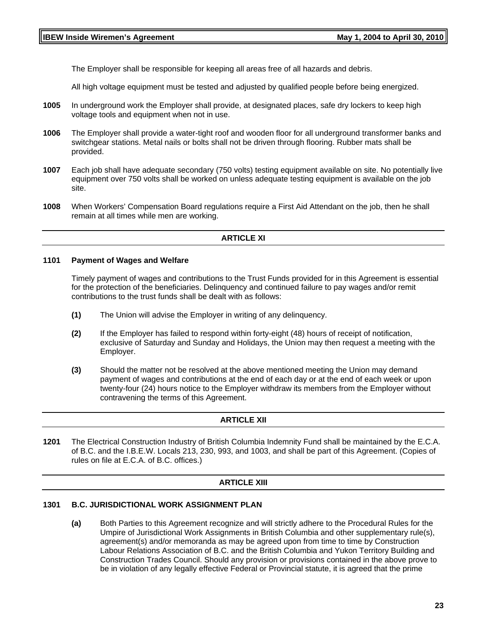The Employer shall be responsible for keeping all areas free of all hazards and debris.

All high voltage equipment must be tested and adjusted by qualified people before being energized.

- **1005** In underground work the Employer shall provide, at designated places, safe dry lockers to keep high voltage tools and equipment when not in use.
- **1006** The Employer shall provide a water-tight roof and wooden floor for all underground transformer banks and switchgear stations. Metal nails or bolts shall not be driven through flooring. Rubber mats shall be provided.
- **1007** Each job shall have adequate secondary (750 volts) testing equipment available on site. No potentially live equipment over 750 volts shall be worked on unless adequate testing equipment is available on the job site.
- **1008** When Workers' Compensation Board regulations require a First Aid Attendant on the job, then he shall remain at all times while men are working.

#### **ARTICLE XI**

#### **1101 Payment of Wages and Welfare**

Timely payment of wages and contributions to the Trust Funds provided for in this Agreement is essential for the protection of the beneficiaries. Delinquency and continued failure to pay wages and/or remit contributions to the trust funds shall be dealt with as follows:

- **(1)** The Union will advise the Employer in writing of any delinquency.
- **(2)** If the Employer has failed to respond within forty-eight (48) hours of receipt of notification, exclusive of Saturday and Sunday and Holidays, the Union may then request a meeting with the Employer.
- **(3)** Should the matter not be resolved at the above mentioned meeting the Union may demand payment of wages and contributions at the end of each day or at the end of each week or upon twenty-four (24) hours notice to the Employer withdraw its members from the Employer without contravening the terms of this Agreement.

#### **ARTICLE XII**

**1201** The Electrical Construction Industry of British Columbia Indemnity Fund shall be maintained by the E.C.A. of B.C. and the I.B.E.W. Locals 213, 230, 993, and 1003, and shall be part of this Agreement. (Copies of rules on file at E.C.A. of B.C. offices.)

#### **ARTICLE XIII**

## **1301 B.C. JURISDICTIONAL WORK ASSIGNMENT PLAN**

**(a)** Both Parties to this Agreement recognize and will strictly adhere to the Procedural Rules for the Umpire of Jurisdictional Work Assignments in British Columbia and other supplementary rule(s), agreement(s) and/or memoranda as may be agreed upon from time to time by Construction Labour Relations Association of B.C. and the British Columbia and Yukon Territory Building and Construction Trades Council. Should any provision or provisions contained in the above prove to be in violation of any legally effective Federal or Provincial statute, it is agreed that the prime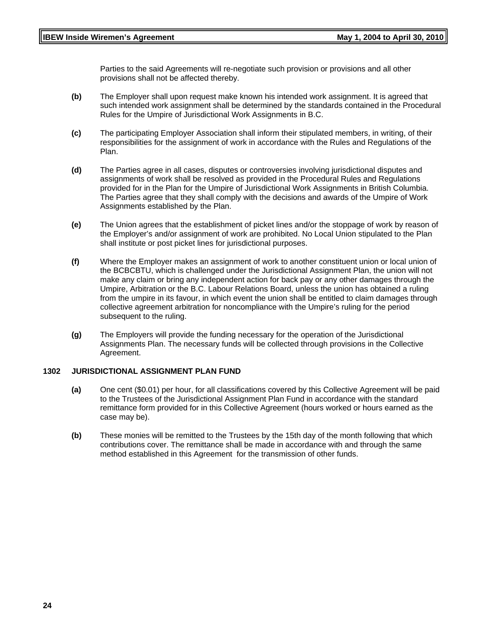Parties to the said Agreements will re-negotiate such provision or provisions and all other provisions shall not be affected thereby.

- **(b)** The Employer shall upon request make known his intended work assignment. It is agreed that such intended work assignment shall be determined by the standards contained in the Procedural Rules for the Umpire of Jurisdictional Work Assignments in B.C.
- **(c)** The participating Employer Association shall inform their stipulated members, in writing, of their responsibilities for the assignment of work in accordance with the Rules and Regulations of the Plan.
- **(d)** The Parties agree in all cases, disputes or controversies involving jurisdictional disputes and assignments of work shall be resolved as provided in the Procedural Rules and Regulations provided for in the Plan for the Umpire of Jurisdictional Work Assignments in British Columbia. The Parties agree that they shall comply with the decisions and awards of the Umpire of Work Assignments established by the Plan.
- **(e)** The Union agrees that the establishment of picket lines and/or the stoppage of work by reason of the Employer's and/or assignment of work are prohibited. No Local Union stipulated to the Plan shall institute or post picket lines for jurisdictional purposes.
- **(f)** Where the Employer makes an assignment of work to another constituent union or local union of the BCBCBTU, which is challenged under the Jurisdictional Assignment Plan, the union will not make any claim or bring any independent action for back pay or any other damages through the Umpire, Arbitration or the B.C. Labour Relations Board, unless the union has obtained a ruling from the umpire in its favour, in which event the union shall be entitled to claim damages through collective agreement arbitration for noncompliance with the Umpire's ruling for the period subsequent to the ruling.
- **(g)** The Employers will provide the funding necessary for the operation of the Jurisdictional Assignments Plan. The necessary funds will be collected through provisions in the Collective Agreement.

#### **1302 JURISDICTIONAL ASSIGNMENT PLAN FUND**

- **(a)** One cent (\$0.01) per hour, for all classifications covered by this Collective Agreement will be paid to the Trustees of the Jurisdictional Assignment Plan Fund in accordance with the standard remittance form provided for in this Collective Agreement (hours worked or hours earned as the case may be).
- **(b)** These monies will be remitted to the Trustees by the 15th day of the month following that which contributions cover. The remittance shall be made in accordance with and through the same method established in this Agreement for the transmission of other funds.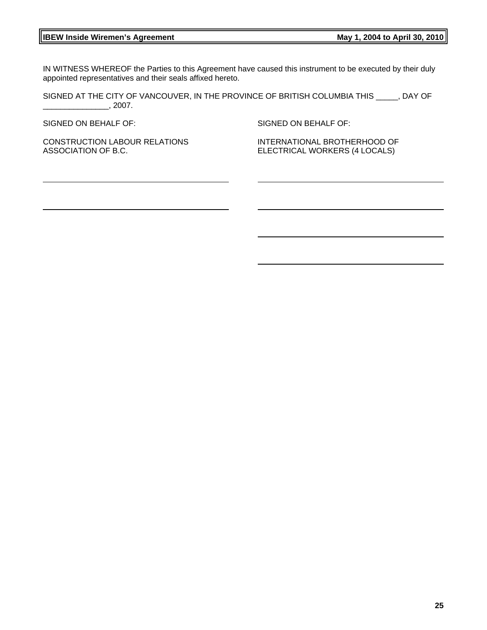IN WITNESS WHEREOF the Parties to this Agreement have caused this instrument to be executed by their duly appointed representatives and their seals affixed hereto.

SIGNED AT THE CITY OF VANCOUVER, IN THE PROVINCE OF BRITISH COLUMBIA THIS \_\_\_\_\_, DAY OF  $\frac{1}{2007}$ .

SIGNED ON BEHALF OF:

SIGNED ON BEHALF OF:

CONSTRUCTION LABOUR RELATIONS ASSOCIATION OF B.C.

INTERNATIONAL BROTHERHOOD OF ELECTRICAL WORKERS (4 LOCALS)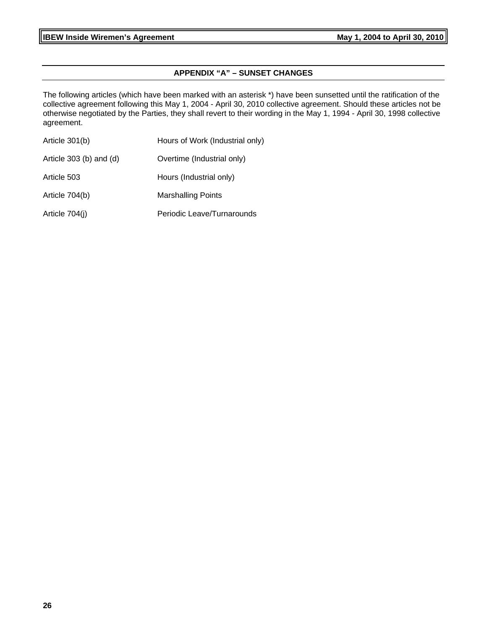# **APPENDIX "A" – SUNSET CHANGES**

The following articles (which have been marked with an asterisk \*) have been sunsetted until the ratification of the collective agreement following this May 1, 2004 - April 30, 2010 collective agreement. Should these articles not be otherwise negotiated by the Parties, they shall revert to their wording in the May 1, 1994 - April 30, 1998 collective agreement.

| Article 301(b)          | Hours of Work (Industrial only) |
|-------------------------|---------------------------------|
| Article 303 (b) and (d) | Overtime (Industrial only)      |
| Article 503             | Hours (Industrial only)         |
| Article 704(b)          | <b>Marshalling Points</b>       |
| Article 704(j)          | Periodic Leave/Turnarounds      |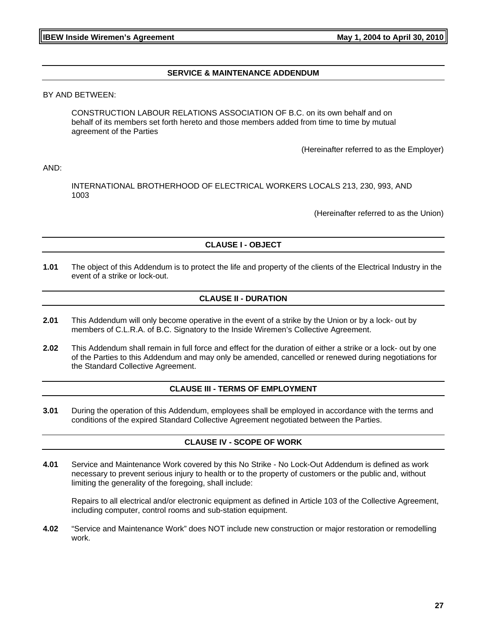#### **SERVICE & MAINTENANCE ADDENDUM**

BY AND BETWEEN:

CONSTRUCTION LABOUR RELATIONS ASSOCIATION OF B.C. on its own behalf and on behalf of its members set forth hereto and those members added from time to time by mutual agreement of the Parties

(Hereinafter referred to as the Employer)

AND:

INTERNATIONAL BROTHERHOOD OF ELECTRICAL WORKERS LOCALS 213, 230, 993, AND 1003

(Hereinafter referred to as the Union)

# **CLAUSE I - OBJECT**

**1.01** The object of this Addendum is to protect the life and property of the clients of the Electrical Industry in the event of a strike or lock-out.

#### **CLAUSE II - DURATION**

- **2.01** This Addendum will only become operative in the event of a strike by the Union or by a lock- out by members of C.L.R.A. of B.C. Signatory to the Inside Wiremen's Collective Agreement.
- **2.02** This Addendum shall remain in full force and effect for the duration of either a strike or a lock- out by one of the Parties to this Addendum and may only be amended, cancelled or renewed during negotiations for the Standard Collective Agreement.

#### **CLAUSE III - TERMS OF EMPLOYMENT**

**3.01** During the operation of this Addendum, employees shall be employed in accordance with the terms and conditions of the expired Standard Collective Agreement negotiated between the Parties.

#### **CLAUSE IV - SCOPE OF WORK**

**4.01** Service and Maintenance Work covered by this No Strike - No Lock-Out Addendum is defined as work necessary to prevent serious injury to health or to the property of customers or the public and, without limiting the generality of the foregoing, shall include:

Repairs to all electrical and/or electronic equipment as defined in Article 103 of the Collective Agreement, including computer, control rooms and sub-station equipment.

**4.02** "Service and Maintenance Work" does NOT include new construction or major restoration or remodelling work.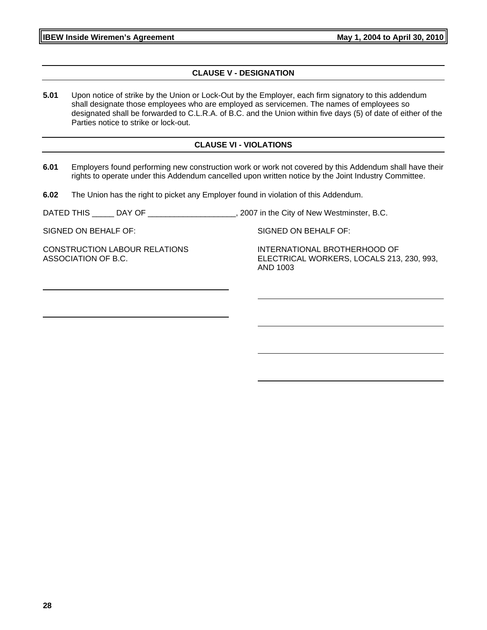#### **CLAUSE V - DESIGNATION**

**5.01** Upon notice of strike by the Union or Lock-Out by the Employer, each firm signatory to this addendum shall designate those employees who are employed as servicemen. The names of employees so designated shall be forwarded to C.L.R.A. of B.C. and the Union within five days (5) of date of either of the Parties notice to strike or lock-out.

#### **CLAUSE VI - VIOLATIONS**

- **6.01** Employers found performing new construction work or work not covered by this Addendum shall have their rights to operate under this Addendum cancelled upon written notice by the Joint Industry Committee.
- **6.02** The Union has the right to picket any Employer found in violation of this Addendum.

DATED THIS \_\_\_\_\_\_ DAY OF \_\_\_\_\_\_\_\_\_\_\_\_\_\_\_\_\_\_\_\_\_\_, 2007 in the City of New Westminster, B.C.

SIGNED ON BEHALF OF:

CONSTRUCTION LABOUR RELATIONS ASSOCIATION OF B.C.

SIGNED ON BEHALF OF:

INTERNATIONAL BROTHERHOOD OF ELECTRICAL WORKERS, LOCALS 213, 230, 993, AND 1003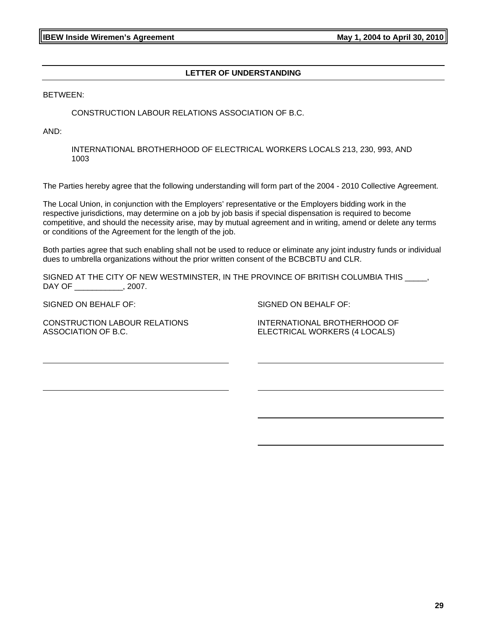## **LETTER OF UNDERSTANDING**

BETWEEN:

#### CONSTRUCTION LABOUR RELATIONS ASSOCIATION OF B.C.

AND:

INTERNATIONAL BROTHERHOOD OF ELECTRICAL WORKERS LOCALS 213, 230, 993, AND 1003

The Parties hereby agree that the following understanding will form part of the 2004 - 2010 Collective Agreement.

The Local Union, in conjunction with the Employers' representative or the Employers bidding work in the respective jurisdictions, may determine on a job by job basis if special dispensation is required to become competitive, and should the necessity arise, may by mutual agreement and in writing, amend or delete any terms or conditions of the Agreement for the length of the job.

Both parties agree that such enabling shall not be used to reduce or eliminate any joint industry funds or individual dues to umbrella organizations without the prior written consent of the BCBCBTU and CLR.

SIGNED AT THE CITY OF NEW WESTMINSTER, IN THE PROVINCE OF BRITISH COLUMBIA THIS DAY OF \_\_\_\_\_\_\_\_\_\_\_, 2007.

SIGNED ON BEHALF OF:

CONSTRUCTION LABOUR RELATIONS ASSOCIATION OF B.C.

SIGNED ON BEHALF OF:

INTERNATIONAL BROTHERHOOD OF ELECTRICAL WORKERS (4 LOCALS)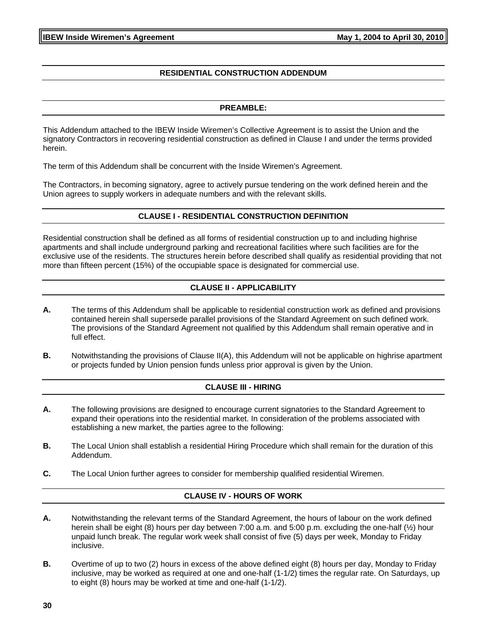#### **RESIDENTIAL CONSTRUCTION ADDENDUM**

#### **PREAMBLE:**

This Addendum attached to the IBEW Inside Wiremen's Collective Agreement is to assist the Union and the signatory Contractors in recovering residential construction as defined in Clause I and under the terms provided herein.

The term of this Addendum shall be concurrent with the Inside Wiremen's Agreement.

The Contractors, in becoming signatory, agree to actively pursue tendering on the work defined herein and the Union agrees to supply workers in adequate numbers and with the relevant skills.

#### **CLAUSE I - RESIDENTIAL CONSTRUCTION DEFINITION**

Residential construction shall be defined as all forms of residential construction up to and including highrise apartments and shall include underground parking and recreational facilities where such facilities are for the exclusive use of the residents. The structures herein before described shall qualify as residential providing that not more than fifteen percent (15%) of the occupiable space is designated for commercial use.

# **CLAUSE II - APPLICABILITY**

- **A.** The terms of this Addendum shall be applicable to residential construction work as defined and provisions contained herein shall supersede parallel provisions of the Standard Agreement on such defined work. The provisions of the Standard Agreement not qualified by this Addendum shall remain operative and in full effect.
- **B.** Notwithstanding the provisions of Clause II(A), this Addendum will not be applicable on highrise apartment or projects funded by Union pension funds unless prior approval is given by the Union.

#### **CLAUSE III - HIRING**

- **A.** The following provisions are designed to encourage current signatories to the Standard Agreement to expand their operations into the residential market. In consideration of the problems associated with establishing a new market, the parties agree to the following:
- **B.** The Local Union shall establish a residential Hiring Procedure which shall remain for the duration of this Addendum.
- **C.** The Local Union further agrees to consider for membership qualified residential Wiremen.

#### **CLAUSE IV - HOURS OF WORK**

- **A.** Notwithstanding the relevant terms of the Standard Agreement, the hours of labour on the work defined herein shall be eight (8) hours per day between 7:00 a.m. and 5:00 p.m. excluding the one-half (½) hour unpaid lunch break. The regular work week shall consist of five (5) days per week, Monday to Friday inclusive.
- **B.** Overtime of up to two (2) hours in excess of the above defined eight (8) hours per day, Monday to Friday inclusive, may be worked as required at one and one-half (1-1/2) times the regular rate. On Saturdays, up to eight (8) hours may be worked at time and one-half (1-1/2).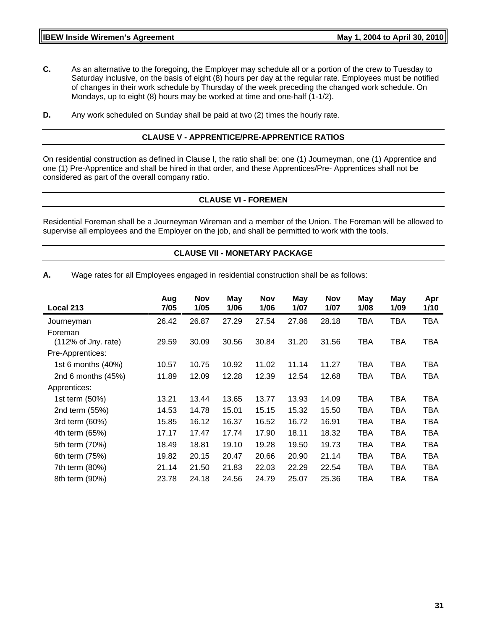- **C.** As an alternative to the foregoing, the Employer may schedule all or a portion of the crew to Tuesday to Saturday inclusive, on the basis of eight (8) hours per day at the regular rate. Employees must be notified of changes in their work schedule by Thursday of the week preceding the changed work schedule. On Mondays, up to eight (8) hours may be worked at time and one-half (1-1/2).
- **D.** Any work scheduled on Sunday shall be paid at two (2) times the hourly rate.

#### **CLAUSE V - APPRENTICE/PRE-APPRENTICE RATIOS**

On residential construction as defined in Clause I, the ratio shall be: one (1) Journeyman, one (1) Apprentice and one (1) Pre-Apprentice and shall be hired in that order, and these Apprentices/Pre- Apprentices shall not be considered as part of the overall company ratio.

#### **CLAUSE VI - FOREMEN**

Residential Foreman shall be a Journeyman Wireman and a member of the Union. The Foreman will be allowed to supervise all employees and the Employer on the job, and shall be permitted to work with the tools.

#### **CLAUSE VII - MONETARY PACKAGE**

**A.** Wage rates for all Employees engaged in residential construction shall be as follows:

| Aug<br>7/05 | <b>Nov</b><br>1/05 | May<br>1/06 | <b>Nov</b><br>1/06 | May<br>1/07 | <b>Nov</b><br>1/07 | May<br>1/08 | May<br>1/09 | Apr<br>1/10 |
|-------------|--------------------|-------------|--------------------|-------------|--------------------|-------------|-------------|-------------|
| 26.42       | 26.87              | 27.29       | 27.54              | 27.86       | 28.18              | <b>TBA</b>  | <b>TBA</b>  | TBA         |
|             |                    |             |                    |             |                    |             |             |             |
|             |                    |             |                    |             |                    |             |             | TBA         |
|             |                    |             |                    |             |                    |             |             |             |
| 10.57       | 10.75              | 10.92       | 11.02              | 11.14       | 11.27              | <b>TBA</b>  | TBA         | TBA         |
| 11.89       | 12.09              | 12.28       | 12.39              | 12.54       | 12.68              | <b>TBA</b>  | TBA         | TBA         |
|             |                    |             |                    |             |                    |             |             |             |
| 13.21       | 13.44              | 13.65       | 13.77              | 13.93       | 14.09              | <b>TBA</b>  | TBA         | TBA         |
| 14.53       | 14.78              | 15.01       | 15.15              | 15.32       | 15.50              | <b>TBA</b>  | <b>TBA</b>  | <b>TBA</b>  |
| 15.85       | 16.12              | 16.37       | 16.52              | 16.72       | 16.91              | <b>TBA</b>  | <b>TBA</b>  | <b>TBA</b>  |
| 17.17       | 17.47              | 17.74       | 17.90              | 18.11       | 18.32              | <b>TBA</b>  | TBA         | TBA         |
| 18.49       | 18.81              | 19.10       | 19.28              | 19.50       | 19.73              | TBA         | TBA         | <b>TBA</b>  |
| 19.82       | 20.15              | 20.47       | 20.66              | 20.90       | 21.14              | <b>TBA</b>  | <b>TBA</b>  | TBA         |
| 21.14       | 21.50              | 21.83       | 22.03              | 22.29       | 22.54              | <b>TBA</b>  | <b>TBA</b>  | TBA         |
| 23.78       | 24.18              | 24.56       | 24.79              | 25.07       | 25.36              | <b>TBA</b>  | TBA         | TBA         |
|             | 29.59              | 30.09       | 30.56              | 30.84       | 31.20              | 31.56       | <b>TBA</b>  | TBA         |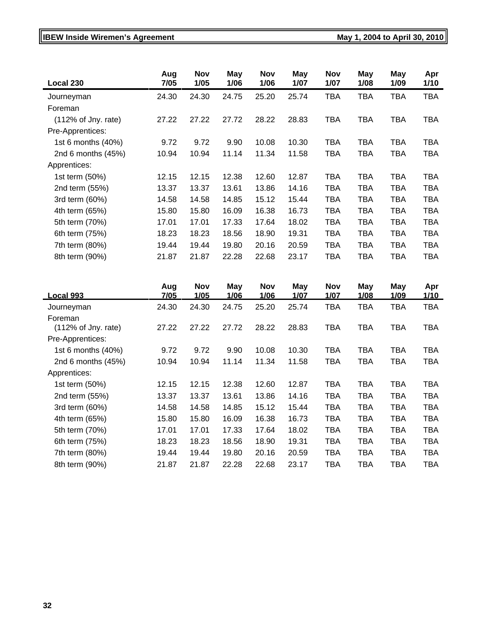# **IBEW Inside Wiremen's Agreement May 1, 2004 to April 30, 2010**

| Local 230                       | Aug<br>7/05 | Nov<br>1/05 | May<br>1/06 | Nov<br>1/06 | May<br>1/07 | Nov<br>1/07 | <b>May</b><br>1/08 | <b>May</b><br>1/09 | Apr<br>1/10 |
|---------------------------------|-------------|-------------|-------------|-------------|-------------|-------------|--------------------|--------------------|-------------|
| Journeyman                      | 24.30       | 24.30       | 24.75       | 25.20       | 25.74       | <b>TBA</b>  | <b>TBA</b>         | <b>TBA</b>         | <b>TBA</b>  |
| Foreman                         |             |             |             |             |             |             |                    |                    |             |
| $(112\% \text{ of }$ Jny. rate) | 27.22       | 27.22       | 27.72       | 28.22       | 28.83       | TBA         | <b>TBA</b>         | TBA                | TBA         |
| Pre-Apprentices:                |             |             |             |             |             |             |                    |                    |             |
| 1st 6 months (40%)              | 9.72        | 9.72        | 9.90        | 10.08       | 10.30       | TBA         | <b>TBA</b>         | TBA                | TBA         |
| 2nd 6 months $(45%)$            | 10.94       | 10.94       | 11.14       | 11.34       | 11.58       | TBA         | <b>TBA</b>         | TBA                | TBA         |
| Apprentices:                    |             |             |             |             |             |             |                    |                    |             |
| 1st term (50%)                  | 12.15       | 12.15       | 12.38       | 12.60       | 12.87       | TBA         | <b>TBA</b>         | TBA                | TBA         |
| 2nd term (55%)                  | 13.37       | 13.37       | 13.61       | 13.86       | 14.16       | <b>TBA</b>  | <b>TBA</b>         | TBA                | TBA         |
| 3rd term (60%)                  | 14.58       | 14.58       | 14.85       | 15.12       | 15.44       | <b>TBA</b>  | <b>TBA</b>         | <b>TBA</b>         | TBA         |
| 4th term (65%)                  | 15.80       | 15.80       | 16.09       | 16.38       | 16.73       | <b>TBA</b>  | <b>TBA</b>         | <b>TBA</b>         | <b>TBA</b>  |
| 5th term (70%)                  | 17.01       | 17.01       | 17.33       | 17.64       | 18.02       | <b>TBA</b>  | <b>TBA</b>         | <b>TBA</b>         | TBA         |
| 6th term (75%)                  | 18.23       | 18.23       | 18.56       | 18.90       | 19.31       | TBA         | TBA                | TBA                | TBA         |
| 7th term (80%)                  | 19.44       | 19.44       | 19.80       | 20.16       | 20.59       | <b>TBA</b>  | <b>TBA</b>         | TBA                | TBA         |
| 8th term (90%)                  | 21.87       | 21.87       | 22.28       | 22.68       | 23.17       | <b>TBA</b>  | <b>TBA</b>         | <b>TBA</b>         | TBA         |

| <b>Local 993</b>     | Aug<br><u>7/05</u> | <b>Nov</b><br>1/05 | May<br><u> 1/06</u> | <b>Nov</b><br>1/06 | May<br><u> 1/07</u> | Nov<br><u> 1/07</u> | May<br><u> 1/08 </u> | May<br><u> 1/09</u> | Apr<br>1/10 |
|----------------------|--------------------|--------------------|---------------------|--------------------|---------------------|---------------------|----------------------|---------------------|-------------|
| Journeyman           | 24.30              | 24.30              | 24.75               | 25.20              | 25.74               | <b>TBA</b>          | <b>TBA</b>           | <b>TBA</b>          | <b>TBA</b>  |
| Foreman              |                    |                    |                     |                    |                     |                     |                      |                     |             |
| (112% of Jny. rate)  | 27.22              | 27.22              | 27.72               | 28.22              | 28.83               | <b>TBA</b>          | <b>TBA</b>           | <b>TBA</b>          | <b>TBA</b>  |
| Pre-Apprentices:     |                    |                    |                     |                    |                     |                     |                      |                     |             |
| 1st 6 months (40%)   | 9.72               | 9.72               | 9.90                | 10.08              | 10.30               | TBA                 | <b>TBA</b>           | TBA                 | TBA         |
| 2nd 6 months $(45%)$ | 10.94              | 10.94              | 11.14               | 11.34              | 11.58               | TBA                 | TBA                  | TBA                 | TBA         |
| Apprentices:         |                    |                    |                     |                    |                     |                     |                      |                     |             |
| 1st term (50%)       | 12.15              | 12.15              | 12.38               | 12.60              | 12.87               | <b>TBA</b>          | <b>TBA</b>           | <b>TBA</b>          | TBA         |
| 2nd term (55%)       | 13.37              | 13.37              | 13.61               | 13.86              | 14.16               | TBA                 | <b>TBA</b>           | TBA                 | <b>TBA</b>  |
| 3rd term (60%)       | 14.58              | 14.58              | 14.85               | 15.12              | 15.44               | <b>TBA</b>          | <b>TBA</b>           | <b>TBA</b>          | <b>TBA</b>  |
| 4th term (65%)       | 15.80              | 15.80              | 16.09               | 16.38              | 16.73               | TBA                 | <b>TBA</b>           | TBA                 | TBA         |
| 5th term (70%)       | 17.01              | 17.01              | 17.33               | 17.64              | 18.02               | <b>TBA</b>          | <b>TBA</b>           | <b>TBA</b>          | <b>TBA</b>  |
| 6th term (75%)       | 18.23              | 18.23              | 18.56               | 18.90              | 19.31               | TBA                 | <b>TBA</b>           | <b>TBA</b>          | <b>TBA</b>  |
| 7th term (80%)       | 19.44              | 19.44              | 19.80               | 20.16              | 20.59               | <b>TBA</b>          | <b>TBA</b>           | <b>TBA</b>          | <b>TBA</b>  |
| 8th term (90%)       | 21.87              | 21.87              | 22.28               | 22.68              | 23.17               | TBA                 | TBA                  | TBA                 | TBA         |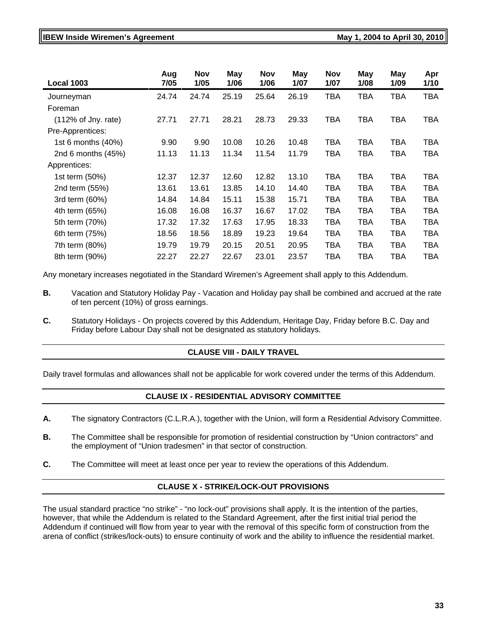#### **IBEW Inside Wiremen's Agreement Constrained Act 2004 to April 30, 2010**

| <b>Local 1003</b>    | Aug<br>7/05 | <b>Nov</b><br>1/05 | May<br>1/06 | <b>Nov</b><br>1/06 | May<br>1/07 | <b>Nov</b><br>1/07 | <b>May</b><br>1/08 | <b>May</b><br>1/09 | Apr<br>1/10 |
|----------------------|-------------|--------------------|-------------|--------------------|-------------|--------------------|--------------------|--------------------|-------------|
| Journeyman           | 24.74       | 24.74              | 25.19       | 25.64              | 26.19       | TBA                | TBA                | TBA                | <b>TBA</b>  |
| Foreman              |             |                    |             |                    |             |                    |                    |                    |             |
| (112% of Jny. rate)  | 27.71       | 27.71              | 28.21       | 28.73              | 29.33       | TBA                | TBA                | TBA                | <b>TBA</b>  |
| Pre-Apprentices:     |             |                    |             |                    |             |                    |                    |                    |             |
| 1st 6 months (40%)   | 9.90        | 9.90               | 10.08       | 10.26              | 10.48       | TBA                | TBA                | TBA                | TBA         |
| 2nd 6 months $(45%)$ | 11.13       | 11.13              | 11.34       | 11.54              | 11.79       | TBA                | TBA                | TBA                | TBA         |
| Apprentices:         |             |                    |             |                    |             |                    |                    |                    |             |
| 1st term (50%)       | 12.37       | 12.37              | 12.60       | 12.82              | 13.10       | TBA                | <b>TBA</b>         | TBA                | TBA         |
| 2nd term (55%)       | 13.61       | 13.61              | 13.85       | 14.10              | 14.40       | TBA                | <b>TBA</b>         | TBA                | <b>TBA</b>  |
| 3rd term (60%)       | 14.84       | 14.84              | 15.11       | 15.38              | 15.71       | TBA                | TBA                | TBA                | TBA         |
| 4th term (65%)       | 16.08       | 16.08              | 16.37       | 16.67              | 17.02       | TBA                | <b>TBA</b>         | TBA                | <b>TBA</b>  |
| 5th term (70%)       | 17.32       | 17.32              | 17.63       | 17.95              | 18.33       | <b>TBA</b>         | TBA                | <b>TBA</b>         | <b>TBA</b>  |
| 6th term (75%)       | 18.56       | 18.56              | 18.89       | 19.23              | 19.64       | <b>TBA</b>         | <b>TBA</b>         | <b>TBA</b>         | <b>TBA</b>  |
| 7th term (80%)       | 19.79       | 19.79              | 20.15       | 20.51              | 20.95       | TBA                | <b>TBA</b>         | TBA                | <b>TBA</b>  |
| 8th term (90%)       | 22.27       | 22.27              | 22.67       | 23.01              | 23.57       | TBA                | TBA                | TBA                | <b>TBA</b>  |

Any monetary increases negotiated in the Standard Wiremen's Agreement shall apply to this Addendum.

- **B.** Vacation and Statutory Holiday Pay Vacation and Holiday pay shall be combined and accrued at the rate of ten percent (10%) of gross earnings.
- **C.** Statutory Holidays On projects covered by this Addendum, Heritage Day, Friday before B.C. Day and Friday before Labour Day shall not be designated as statutory holidays.

#### **CLAUSE VIII - DAILY TRAVEL**

Daily travel formulas and allowances shall not be applicable for work covered under the terms of this Addendum.

#### **CLAUSE IX - RESIDENTIAL ADVISORY COMMITTEE**

- **A.** The signatory Contractors (C.L.R.A.), together with the Union, will form a Residential Advisory Committee.
- **B.** The Committee shall be responsible for promotion of residential construction by "Union contractors" and the employment of "Union tradesmen" in that sector of construction.
- **C.** The Committee will meet at least once per year to review the operations of this Addendum.

#### **CLAUSE X - STRIKE/LOCK-OUT PROVISIONS**

The usual standard practice "no strike" - "no lock-out" provisions shall apply. It is the intention of the parties, however, that while the Addendum is related to the Standard Agreement, after the first initial trial period the Addendum if continued will flow from year to year with the removal of this specific form of construction from the arena of conflict (strikes/lock-outs) to ensure continuity of work and the ability to influence the residential market.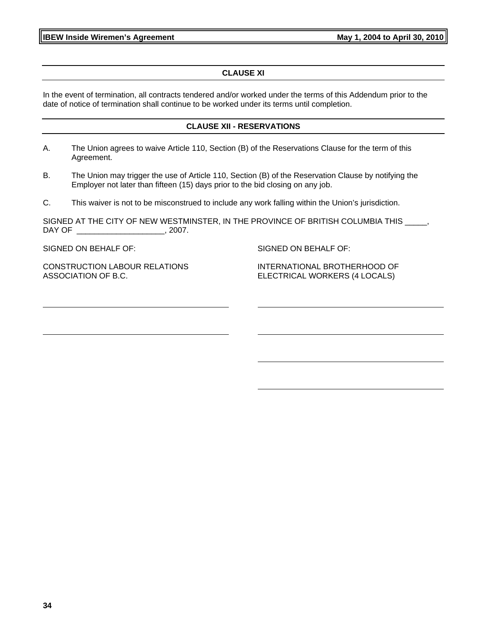**IBEW Inside Wiremen's Agreement May 1, 2004 to April 30, 2010** 

# **CLAUSE XI**

In the event of termination, all contracts tendered and/or worked under the terms of this Addendum prior to the date of notice of termination shall continue to be worked under its terms until completion.

#### **CLAUSE XII - RESERVATIONS**

- A. The Union agrees to waive Article 110, Section (B) of the Reservations Clause for the term of this Agreement.
- B. The Union may trigger the use of Article 110, Section (B) of the Reservation Clause by notifying the Employer not later than fifteen (15) days prior to the bid closing on any job.

C. This waiver is not to be misconstrued to include any work falling within the Union's jurisdiction.

SIGNED AT THE CITY OF NEW WESTMINSTER, IN THE PROVINCE OF BRITISH COLUMBIA THIS \_\_\_\_, DAY OF \_\_\_\_\_\_\_\_\_\_\_\_\_\_\_\_\_\_\_\_\_\_\_\_\_, 2007.

SIGNED ON BEHALF OF:

SIGNED ON BEHALF OF:

CONSTRUCTION LABOUR RELATIONS ASSOCIATION OF B.C.

INTERNATIONAL BROTHERHOOD OF ELECTRICAL WORKERS (4 LOCALS)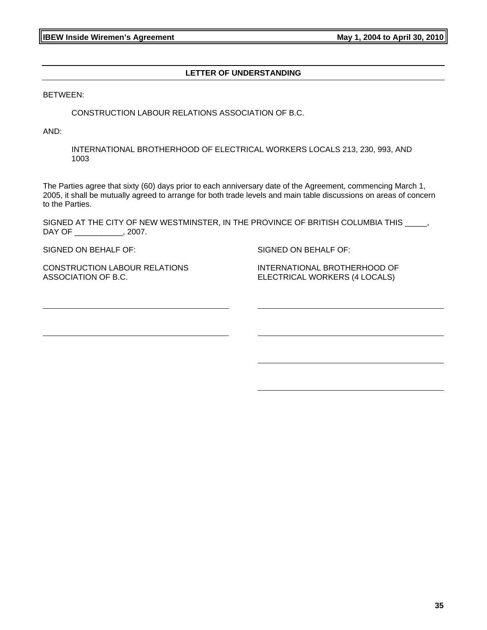#### **LETTER OF UNDERSTANDING**

BETWEEN:

CONSTRUCTION LABOUR RELATIONS ASSOCIATION OF B.C.

AND:

INTERNATIONAL BROTHERHOOD OF ELECTRICAL WORKERS LOCALS 213, 230, 993, AND 1003

The Parties agree that sixty (60) days prior to each anniversary date of the Agreement, commencing March 1, 2005, it shall be mutually agreed to arrange for both trade levels and main table discussions on areas of concern to the Parties.

SIGNED AT THE CITY OF NEW WESTMINSTER, IN THE PROVINCE OF BRITISH COLUMBIA THIS \_\_\_\_\_, DAY OF \_\_\_\_\_\_\_\_\_\_\_, 2007.

SIGNED ON BEHALF OF:

SIGNED ON BEHALF OF:

CONSTRUCTION LABOUR RELATIONS ASSOCIATION OF B.C.

INTERNATIONAL BROTHERHOOD OF ELECTRICAL WORKERS (4 LOCALS)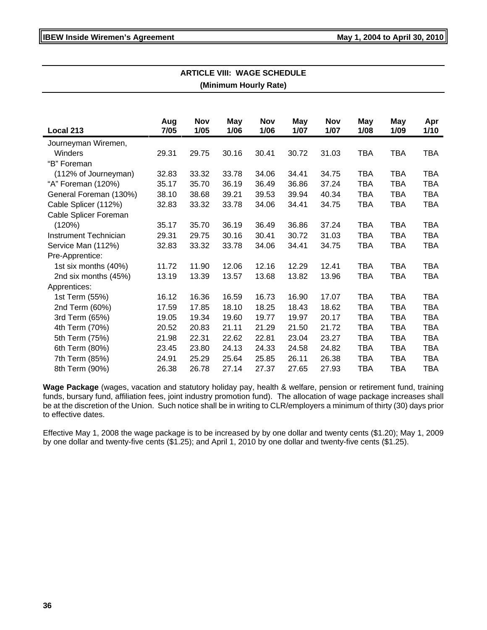| ∟∟ VIII. ₩∧∪∟∪<br>(Minimum Hourly Rate) |       |            |       |            |       |            |            |            |            |
|-----------------------------------------|-------|------------|-------|------------|-------|------------|------------|------------|------------|
|                                         |       |            |       |            |       |            |            |            |            |
|                                         |       |            |       |            |       |            |            |            |            |
|                                         | Aug   | <b>Nov</b> | May   | <b>Nov</b> | May   | <b>Nov</b> | <b>May</b> | <b>May</b> | Apr        |
| Local 213                               | 7/05  | 1/05       | 1/06  | 1/06       | 1/07  | 1/07       | 1/08       | 1/09       | 1/10       |
| Journeyman Wiremen,                     |       |            |       |            |       |            |            |            |            |
| Winders                                 | 29.31 | 29.75      | 30.16 | 30.41      | 30.72 | 31.03      | <b>TBA</b> | <b>TBA</b> | <b>TBA</b> |
| "B" Foreman                             |       |            |       |            |       |            |            |            |            |
| (112% of Journeyman)                    | 32.83 | 33.32      | 33.78 | 34.06      | 34.41 | 34.75      | <b>TBA</b> | <b>TBA</b> | <b>TBA</b> |
| "A" Foreman (120%)                      | 35.17 | 35.70      | 36.19 | 36.49      | 36.86 | 37.24      | <b>TBA</b> | <b>TBA</b> | <b>TBA</b> |
| General Foreman (130%)                  | 38.10 | 38.68      | 39.21 | 39.53      | 39.94 | 40.34      | <b>TBA</b> | <b>TBA</b> | <b>TBA</b> |
| Cable Splicer (112%)                    | 32.83 | 33.32      | 33.78 | 34.06      | 34.41 | 34.75      | <b>TBA</b> | <b>TBA</b> | <b>TBA</b> |
| Cable Splicer Foreman                   |       |            |       |            |       |            |            |            |            |
| (120%)                                  | 35.17 | 35.70      | 36.19 | 36.49      | 36.86 | 37.24      | <b>TBA</b> | <b>TBA</b> | <b>TBA</b> |
| Instrument Technician                   | 29.31 | 29.75      | 30.16 | 30.41      | 30.72 | 31.03      | <b>TBA</b> | <b>TBA</b> | <b>TBA</b> |
| Service Man (112%)                      | 32.83 | 33.32      | 33.78 | 34.06      | 34.41 | 34.75      | <b>TBA</b> | <b>TBA</b> | <b>TBA</b> |
| Pre-Apprentice:                         |       |            |       |            |       |            |            |            |            |
| 1st six months (40%)                    | 11.72 | 11.90      | 12.06 | 12.16      | 12.29 | 12.41      | <b>TBA</b> | <b>TBA</b> | <b>TBA</b> |
| 2nd six months (45%)                    | 13.19 | 13.39      | 13.57 | 13.68      | 13.82 | 13.96      | <b>TBA</b> | <b>TBA</b> | <b>TBA</b> |
| Apprentices:                            |       |            |       |            |       |            |            |            |            |
| 1st Term (55%)                          | 16.12 | 16.36      | 16.59 | 16.73      | 16.90 | 17.07      | <b>TBA</b> | <b>TBA</b> | <b>TBA</b> |
| 2nd Term (60%)                          | 17.59 | 17.85      | 18.10 | 18.25      | 18.43 | 18.62      | <b>TBA</b> | <b>TBA</b> | <b>TBA</b> |
| 3rd Term (65%)                          | 19.05 | 19.34      | 19.60 | 19.77      | 19.97 | 20.17      | <b>TBA</b> | <b>TBA</b> | <b>TBA</b> |
| 4th Term (70%)                          | 20.52 | 20.83      | 21.11 | 21.29      | 21.50 | 21.72      | <b>TBA</b> | <b>TBA</b> | <b>TBA</b> |
| 5th Term (75%)                          | 21.98 | 22.31      | 22.62 | 22.81      | 23.04 | 23.27      | <b>TBA</b> | <b>TBA</b> | <b>TBA</b> |
| 6th Term (80%)                          | 23.45 | 23.80      | 24.13 | 24.33      | 24.58 | 24.82      | <b>TBA</b> | <b>TBA</b> | <b>TBA</b> |
| 7th Term (85%)                          | 24.91 | 25.29      | 25.64 | 25.85      | 26.11 | 26.38      | <b>TBA</b> | <b>TBA</b> | <b>TBA</b> |
| 8th Term (90%)                          | 26.38 | 26.78      | 27.14 | 27.37      | 27.65 | 27.93      | <b>TBA</b> | <b>TBA</b> | <b>TBA</b> |

**ARTICLE VIII: WAGE SCHEDULE**

**Wage Package** (wages, vacation and statutory holiday pay, health & welfare, pension or retirement fund, training funds, bursary fund, affiliation fees, joint industry promotion fund). The allocation of wage package increases shall be at the discretion of the Union. Such notice shall be in writing to CLR/employers a minimum of thirty (30) days prior to effective dates.

Effective May 1, 2008 the wage package is to be increased by by one dollar and twenty cents (\$1.20); May 1, 2009 by one dollar and twenty-five cents (\$1.25); and April 1, 2010 by one dollar and twenty-five cents (\$1.25).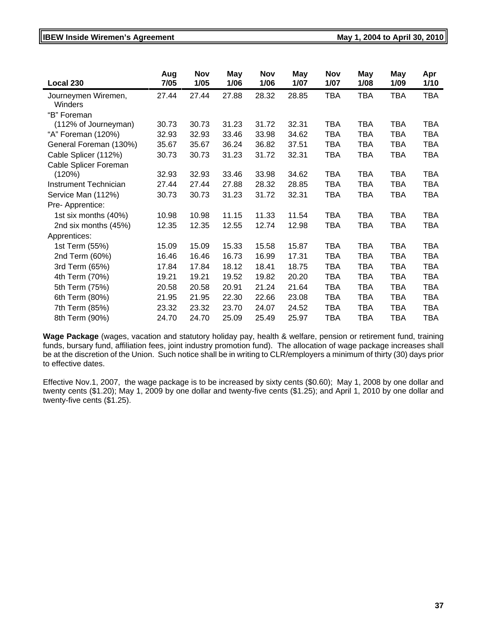# **IBEW Inside Wiremen's Agreement Constrainer Constrainer May 1, 2004 to April 30, 2010**

| Local 230                      | Aug<br>7/05 | <b>Nov</b><br>1/05 | May<br>1/06 | <b>Nov</b><br>1/06 | May<br>1/07 | <b>Nov</b><br>1/07 | May<br>1/08 | <b>May</b><br>1/09 | Apr<br>1/10 |
|--------------------------------|-------------|--------------------|-------------|--------------------|-------------|--------------------|-------------|--------------------|-------------|
| Journeymen Wiremen,<br>Winders | 27.44       | 27.44              | 27.88       | 28.32              | 28.85       | <b>TBA</b>         | <b>TBA</b>  | <b>TBA</b>         | <b>TBA</b>  |
| "B" Foreman                    |             |                    |             |                    |             |                    |             |                    |             |
| (112% of Journeyman)           | 30.73       | 30.73              | 31.23       | 31.72              | 32.31       | <b>TBA</b>         | <b>TBA</b>  | <b>TBA</b>         | <b>TBA</b>  |
| "A" Foreman (120%)             | 32.93       | 32.93              | 33.46       | 33.98              | 34.62       | <b>TBA</b>         | <b>TBA</b>  | <b>TBA</b>         | <b>TBA</b>  |
| General Foreman (130%)         | 35.67       | 35.67              | 36.24       | 36.82              | 37.51       | <b>TBA</b>         | <b>TBA</b>  | <b>TBA</b>         | <b>TBA</b>  |
| Cable Splicer (112%)           | 30.73       | 30.73              | 31.23       | 31.72              | 32.31       | <b>TBA</b>         | TBA         | <b>TBA</b>         | <b>TBA</b>  |
| Cable Splicer Foreman          |             |                    |             |                    |             |                    |             |                    |             |
| (120%)                         | 32.93       | 32.93              | 33.46       | 33.98              | 34.62       | <b>TBA</b>         | TBA         | <b>TBA</b>         | <b>TBA</b>  |
| <b>Instrument Technician</b>   | 27.44       | 27.44              | 27.88       | 28.32              | 28.85       | <b>TBA</b>         | <b>TBA</b>  | <b>TBA</b>         | <b>TBA</b>  |
| Service Man (112%)             | 30.73       | 30.73              | 31.23       | 31.72              | 32.31       | <b>TBA</b>         | TBA         | <b>TBA</b>         | <b>TBA</b>  |
| Pre-Apprentice:                |             |                    |             |                    |             |                    |             |                    |             |
| 1st six months (40%)           | 10.98       | 10.98              | 11.15       | 11.33              | 11.54       | <b>TBA</b>         | <b>TBA</b>  | <b>TBA</b>         | <b>TBA</b>  |
| 2nd six months (45%)           | 12.35       | 12.35              | 12.55       | 12.74              | 12.98       | <b>TBA</b>         | TBA         | <b>TBA</b>         | <b>TBA</b>  |
| Apprentices:                   |             |                    |             |                    |             |                    |             |                    |             |
| 1st Term (55%)                 | 15.09       | 15.09              | 15.33       | 15.58              | 15.87       | <b>TBA</b>         | <b>TBA</b>  | <b>TBA</b>         | <b>TBA</b>  |
| 2nd Term (60%)                 | 16.46       | 16.46              | 16.73       | 16.99              | 17.31       | <b>TBA</b>         | <b>TBA</b>  | <b>TBA</b>         | <b>TBA</b>  |
| 3rd Term (65%)                 | 17.84       | 17.84              | 18.12       | 18.41              | 18.75       | <b>TBA</b>         | <b>TBA</b>  | <b>TBA</b>         | <b>TBA</b>  |
| 4th Term (70%)                 | 19.21       | 19.21              | 19.52       | 19.82              | 20.20       | <b>TBA</b>         | <b>TBA</b>  | <b>TBA</b>         | <b>TBA</b>  |
| 5th Term (75%)                 | 20.58       | 20.58              | 20.91       | 21.24              | 21.64       | <b>TBA</b>         | <b>TBA</b>  | <b>TBA</b>         | <b>TBA</b>  |
| 6th Term (80%)                 | 21.95       | 21.95              | 22.30       | 22.66              | 23.08       | <b>TBA</b>         | <b>TBA</b>  | <b>TBA</b>         | <b>TBA</b>  |
| 7th Term (85%)                 | 23.32       | 23.32              | 23.70       | 24.07              | 24.52       | <b>TBA</b>         | <b>TBA</b>  | <b>TBA</b>         | <b>TBA</b>  |
| 8th Term (90%)                 | 24.70       | 24.70              | 25.09       | 25.49              | 25.97       | <b>TBA</b>         | <b>TBA</b>  | <b>TBA</b>         | <b>TBA</b>  |
|                                |             |                    |             |                    |             |                    |             |                    |             |

**Wage Package** (wages, vacation and statutory holiday pay, health & welfare, pension or retirement fund, training funds, bursary fund, affiliation fees, joint industry promotion fund). The allocation of wage package increases shall be at the discretion of the Union. Such notice shall be in writing to CLR/employers a minimum of thirty (30) days prior to effective dates.

Effective Nov.1, 2007, the wage package is to be increased by sixty cents (\$0.60); May 1, 2008 by one dollar and twenty cents (\$1.20); May 1, 2009 by one dollar and twenty-five cents (\$1.25); and April 1, 2010 by one dollar and twenty-five cents (\$1.25).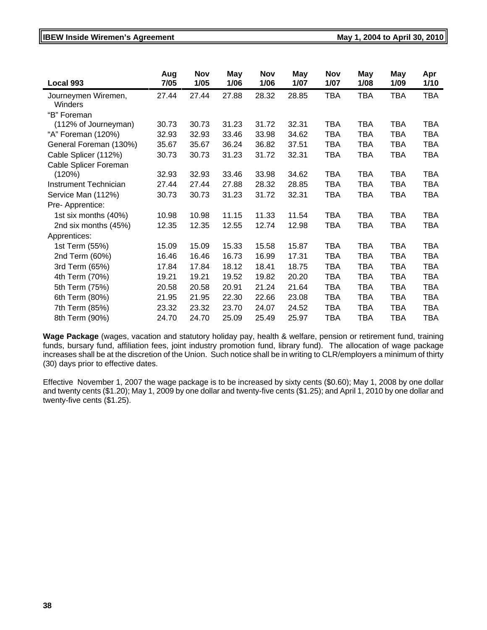# **IBEW Inside Wiremen's Agreement Constrainer Constrainer May 1, 2004 to April 30, 2010**

| Local 993                      | Aug<br>7/05 | <b>Nov</b><br>1/05 | May<br>1/06 | <b>Nov</b><br>1/06 | May<br>1/07 | <b>Nov</b><br>1/07 | <b>May</b><br>1/08 | <b>May</b><br>1/09 | Apr<br>1/10 |
|--------------------------------|-------------|--------------------|-------------|--------------------|-------------|--------------------|--------------------|--------------------|-------------|
| Journeymen Wiremen,<br>Winders | 27.44       | 27.44              | 27.88       | 28.32              | 28.85       | <b>TBA</b>         | <b>TBA</b>         | <b>TBA</b>         | <b>TBA</b>  |
| "B" Foreman                    |             |                    |             |                    |             |                    |                    |                    |             |
| (112% of Journeyman)           | 30.73       | 30.73              | 31.23       | 31.72              | 32.31       | TBA                | <b>TBA</b>         | <b>TBA</b>         | <b>TBA</b>  |
| "A" Foreman (120%)             | 32.93       | 32.93              | 33.46       | 33.98              | 34.62       | <b>TBA</b>         | <b>TBA</b>         | <b>TBA</b>         | <b>TBA</b>  |
| General Foreman (130%)         | 35.67       | 35.67              | 36.24       | 36.82              | 37.51       | <b>TBA</b>         | <b>TBA</b>         | <b>TBA</b>         | <b>TBA</b>  |
| Cable Splicer (112%)           | 30.73       | 30.73              | 31.23       | 31.72              | 32.31       | <b>TBA</b>         | <b>TBA</b>         | <b>TBA</b>         | <b>TBA</b>  |
| Cable Splicer Foreman          |             |                    |             |                    |             |                    |                    |                    |             |
| (120%)                         | 32.93       | 32.93              | 33.46       | 33.98              | 34.62       | <b>TBA</b>         | <b>TBA</b>         | <b>TBA</b>         | <b>TBA</b>  |
| Instrument Technician          | 27.44       | 27.44              | 27.88       | 28.32              | 28.85       | TBA                | <b>TBA</b>         | <b>TBA</b>         | <b>TBA</b>  |
| Service Man (112%)             | 30.73       | 30.73              | 31.23       | 31.72              | 32.31       | TBA                | <b>TBA</b>         | <b>TBA</b>         | <b>TBA</b>  |
| Pre- Apprentice:               |             |                    |             |                    |             |                    |                    |                    |             |
| 1st six months (40%)           | 10.98       | 10.98              | 11.15       | 11.33              | 11.54       | <b>TBA</b>         | <b>TBA</b>         | <b>TBA</b>         | <b>TBA</b>  |
| 2nd six months (45%)           | 12.35       | 12.35              | 12.55       | 12.74              | 12.98       | <b>TBA</b>         | <b>TBA</b>         | <b>TBA</b>         | <b>TBA</b>  |
| Apprentices:                   |             |                    |             |                    |             |                    |                    |                    |             |
| 1st Term (55%)                 | 15.09       | 15.09              | 15.33       | 15.58              | 15.87       | <b>TBA</b>         | <b>TBA</b>         | <b>TBA</b>         | <b>TBA</b>  |
| 2nd Term (60%)                 | 16.46       | 16.46              | 16.73       | 16.99              | 17.31       | TBA                | <b>TBA</b>         | <b>TBA</b>         | <b>TBA</b>  |
| 3rd Term (65%)                 | 17.84       | 17.84              | 18.12       | 18.41              | 18.75       | TBA                | <b>TBA</b>         | <b>TBA</b>         | <b>TBA</b>  |
| 4th Term (70%)                 | 19.21       | 19.21              | 19.52       | 19.82              | 20.20       | TBA                | TBA                | <b>TBA</b>         | TBA         |
| 5th Term (75%)                 | 20.58       | 20.58              | 20.91       | 21.24              | 21.64       | <b>TBA</b>         | <b>TBA</b>         | <b>TBA</b>         | <b>TBA</b>  |
| 6th Term (80%)                 | 21.95       | 21.95              | 22.30       | 22.66              | 23.08       | <b>TBA</b>         | <b>TBA</b>         | <b>TBA</b>         | <b>TBA</b>  |
| 7th Term (85%)                 | 23.32       | 23.32              | 23.70       | 24.07              | 24.52       | <b>TBA</b>         | <b>TBA</b>         | <b>TBA</b>         | <b>TBA</b>  |
| 8th Term (90%)                 | 24.70       | 24.70              | 25.09       | 25.49              | 25.97       | <b>TBA</b>         | <b>TBA</b>         | <b>TBA</b>         | <b>TBA</b>  |

**Wage Package** (wages, vacation and statutory holiday pay, health & welfare, pension or retirement fund, training funds, bursary fund, affiliation fees, joint industry promotion fund, library fund). The allocation of wage package increases shall be at the discretion of the Union. Such notice shall be in writing to CLR/employers a minimum of thirty (30) days prior to effective dates.

Effective November 1, 2007 the wage package is to be increased by sixty cents (\$0.60); May 1, 2008 by one dollar and twenty cents (\$1.20); May 1, 2009 by one dollar and twenty-five cents (\$1.25); and April 1, 2010 by one dollar and twenty-five cents (\$1.25).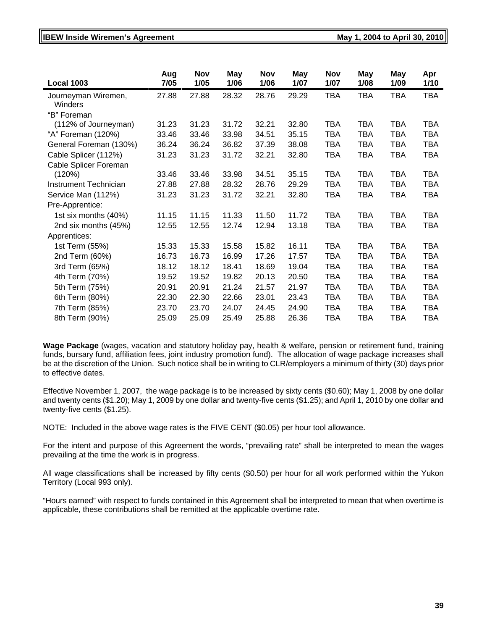#### **IBEW Inside Wiremen's Agreement Constrained Act 2004 to April 30, 2010** May 1, 2004 to April 30, 2010

| Aug<br>7/05 | <b>Nov</b><br>1/05 | <b>May</b><br>1/06 | <b>Nov</b><br>1/06 | May<br>1/07 | <b>Nov</b><br>1/07 | May<br>1/08 | May<br>1/09 | Apr<br>1/10 |
|-------------|--------------------|--------------------|--------------------|-------------|--------------------|-------------|-------------|-------------|
| 27.88       | 27.88              | 28.32              | 28.76              | 29.29       | <b>TBA</b>         | <b>TBA</b>  | <b>TBA</b>  | <b>TBA</b>  |
|             |                    |                    |                    |             |                    |             |             |             |
| 31.23       | 31.23              | 31.72              | 32.21              | 32.80       | TBA                | <b>TBA</b>  | <b>TBA</b>  | <b>TBA</b>  |
| 33.46       | 33.46              | 33.98              | 34.51              | 35.15       | <b>TBA</b>         | TBA         | <b>TBA</b>  | <b>TBA</b>  |
| 36.24       | 36.24              | 36.82              | 37.39              | 38.08       | TBA                | TBA         | <b>TBA</b>  | <b>TBA</b>  |
| 31.23       | 31.23              | 31.72              | 32.21              | 32.80       | <b>TBA</b>         | <b>TBA</b>  | <b>TBA</b>  | <b>TBA</b>  |
|             |                    |                    |                    |             |                    |             |             |             |
| 33.46       | 33.46              | 33.98              | 34.51              | 35.15       | <b>TBA</b>         | <b>TBA</b>  | <b>TBA</b>  | <b>TBA</b>  |
| 27.88       | 27.88              | 28.32              | 28.76              | 29.29       | <b>TBA</b>         | <b>TBA</b>  | <b>TBA</b>  | <b>TBA</b>  |
| 31.23       | 31.23              | 31.72              | 32.21              | 32.80       | <b>TBA</b>         | <b>TBA</b>  | <b>TBA</b>  | <b>TBA</b>  |
|             |                    |                    |                    |             |                    |             |             |             |
| 11.15       | 11.15              | 11.33              | 11.50              | 11.72       | TBA                | <b>TBA</b>  | <b>TBA</b>  | <b>TBA</b>  |
| 12.55       | 12.55              | 12.74              | 12.94              | 13.18       | TBA                | <b>TBA</b>  | <b>TBA</b>  | <b>TBA</b>  |
|             |                    |                    |                    |             |                    |             |             |             |
| 15.33       | 15.33              | 15.58              | 15.82              | 16.11       | <b>TBA</b>         | TBA         | <b>TBA</b>  | <b>TBA</b>  |
| 16.73       | 16.73              | 16.99              | 17.26              | 17.57       | <b>TBA</b>         | <b>TBA</b>  | <b>TBA</b>  | <b>TBA</b>  |
| 18.12       | 18.12              | 18.41              | 18.69              | 19.04       | <b>TBA</b>         | <b>TBA</b>  | <b>TBA</b>  | <b>TBA</b>  |
| 19.52       | 19.52              | 19.82              | 20.13              | 20.50       | <b>TBA</b>         | <b>TBA</b>  | <b>TBA</b>  | <b>TBA</b>  |
| 20.91       | 20.91              | 21.24              | 21.57              | 21.97       | <b>TBA</b>         | <b>TBA</b>  | <b>TBA</b>  | <b>TBA</b>  |
| 22.30       | 22.30              | 22.66              | 23.01              | 23.43       | <b>TBA</b>         | <b>TBA</b>  | <b>TBA</b>  | <b>TBA</b>  |
| 23.70       | 23.70              | 24.07              | 24.45              | 24.90       | <b>TBA</b>         | <b>TBA</b>  | <b>TBA</b>  | <b>TBA</b>  |
| 25.09       | 25.09              | 25.49              | 25.88              | 26.36       | TBA                | TBA         | <b>TBA</b>  | <b>TBA</b>  |
|             |                    |                    |                    |             |                    |             |             |             |

**Wage Package** (wages, vacation and statutory holiday pay, health & welfare, pension or retirement fund, training funds, bursary fund, affiliation fees, joint industry promotion fund). The allocation of wage package increases shall be at the discretion of the Union. Such notice shall be in writing to CLR/employers a minimum of thirty (30) days prior to effective dates.

Effective November 1, 2007, the wage package is to be increased by sixty cents (\$0.60); May 1, 2008 by one dollar and twenty cents (\$1.20); May 1, 2009 by one dollar and twenty-five cents (\$1.25); and April 1, 2010 by one dollar and twenty-five cents (\$1.25).

NOTE: Included in the above wage rates is the FIVE CENT (\$0.05) per hour tool allowance.

For the intent and purpose of this Agreement the words, "prevailing rate" shall be interpreted to mean the wages prevailing at the time the work is in progress.

All wage classifications shall be increased by fifty cents (\$0.50) per hour for all work performed within the Yukon Territory (Local 993 only).

"Hours earned" with respect to funds contained in this Agreement shall be interpreted to mean that when overtime is applicable, these contributions shall be remitted at the applicable overtime rate.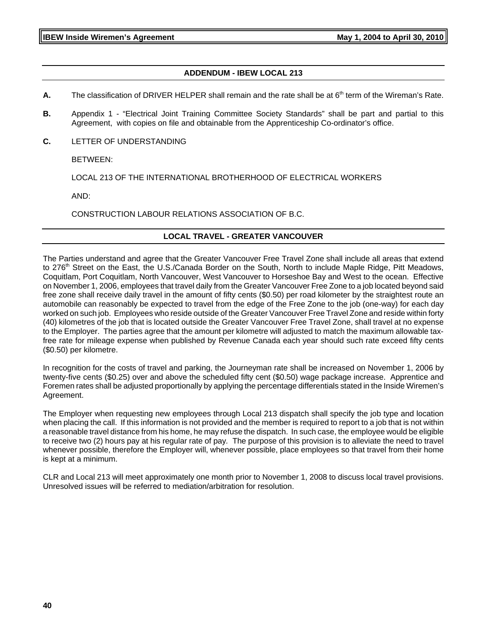## **ADDENDUM - IBEW LOCAL 213**

- **A.** The classification of DRIVER HELPER shall remain and the rate shall be at 6<sup>th</sup> term of the Wireman's Rate.
- **B.** Appendix 1 "Electrical Joint Training Committee Society Standards" shall be part and partial to this Agreement, with copies on file and obtainable from the Apprenticeship Co-ordinator's office.
- **C.** LETTER OF UNDERSTANDING

BETWEEN:

LOCAL 213 OF THE INTERNATIONAL BROTHERHOOD OF ELECTRICAL WORKERS

AND:

CONSTRUCTION LABOUR RELATIONS ASSOCIATION OF B.C.

#### **LOCAL TRAVEL - GREATER VANCOUVER**

The Parties understand and agree that the Greater Vancouver Free Travel Zone shall include all areas that extend to 276<sup>th</sup> Street on the East, the U.S./Canada Border on the South, North to include Maple Ridge, Pitt Meadows, Coquitlam, Port Coquitlam, North Vancouver, West Vancouver to Horseshoe Bay and West to the ocean. Effective on November 1, 2006, employees that travel daily from the Greater Vancouver Free Zone to a job located beyond said free zone shall receive daily travel in the amount of fifty cents (\$0.50) per road kilometer by the straightest route an automobile can reasonably be expected to travel from the edge of the Free Zone to the job (one-way) for each day worked on such job. Employees who reside outside of the Greater Vancouver Free Travel Zone and reside within forty (40) kilometres of the job that is located outside the Greater Vancouver Free Travel Zone, shall travel at no expense to the Employer. The parties agree that the amount per kilometre will adjusted to match the maximum allowable taxfree rate for mileage expense when published by Revenue Canada each year should such rate exceed fifty cents (\$0.50) per kilometre.

In recognition for the costs of travel and parking, the Journeyman rate shall be increased on November 1, 2006 by twenty-five cents (\$0.25) over and above the scheduled fifty cent (\$0.50) wage package increase. Apprentice and Foremen rates shall be adjusted proportionally by applying the percentage differentials stated in the Inside Wiremen's Agreement.

The Employer when requesting new employees through Local 213 dispatch shall specify the job type and location when placing the call. If this information is not provided and the member is required to report to a job that is not within a reasonable travel distance from his home, he may refuse the dispatch. In such case, the employee would be eligible to receive two (2) hours pay at his regular rate of pay*.* The purpose of this provision is to alleviate the need to travel whenever possible, therefore the Employer will, whenever possible, place employees so that travel from their home is kept at a minimum.

CLR and Local 213 will meet approximately one month prior to November 1, 2008 to discuss local travel provisions. Unresolved issues will be referred to mediation/arbitration for resolution.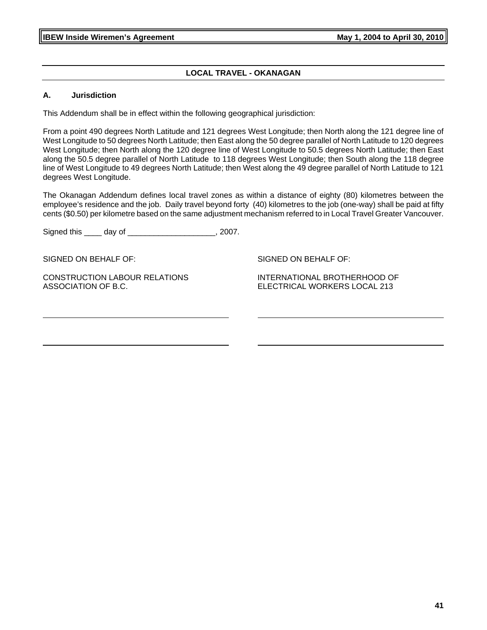## **LOCAL TRAVEL - OKANAGAN**

#### **A. Jurisdiction**

This Addendum shall be in effect within the following geographical jurisdiction:

From a point 490 degrees North Latitude and 121 degrees West Longitude; then North along the 121 degree line of West Longitude to 50 degrees North Latitude; then East along the 50 degree parallel of North Latitude to 120 degrees West Longitude; then North along the 120 degree line of West Longitude to 50.5 degrees North Latitude; then East along the 50.5 degree parallel of North Latitude to 118 degrees West Longitude; then South along the 118 degree line of West Longitude to 49 degrees North Latitude; then West along the 49 degree parallel of North Latitude to 121 degrees West Longitude.

The Okanagan Addendum defines local travel zones as within a distance of eighty (80) kilometres between the employee's residence and the job. Daily travel beyond forty (40) kilometres to the job (one-way) shall be paid at fifty cents (\$0.50) per kilometre based on the same adjustment mechanism referred to in Local Travel Greater Vancouver.

Signed this \_\_\_\_ day of \_\_\_\_\_\_\_\_\_\_\_\_\_\_\_\_\_\_\_\_, 2007.

SIGNED ON BEHALF OF:

CONSTRUCTION LABOUR RELATIONS ASSOCIATION OF B.C.

SIGNED ON BEHALF OF:

INTERNATIONAL BROTHERHOOD OF ELECTRICAL WORKERS LOCAL 213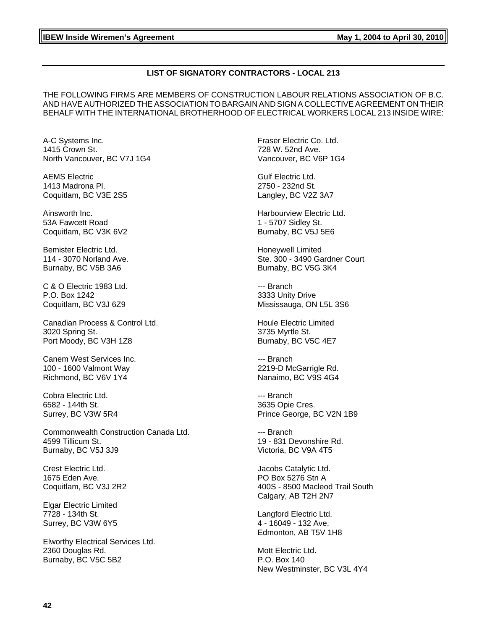#### **LIST OF SIGNATORY CONTRACTORS - LOCAL 213**

THE FOLLOWING FIRMS ARE MEMBERS OF CONSTRUCTION LABOUR RELATIONS ASSOCIATION OF B.C. AND HAVE AUTHORIZED THE ASSOCIATION TO BARGAIN AND SIGN A COLLECTIVE AGREEMENT ON THEIR BEHALF WITH THE INTERNATIONAL BROTHERHOOD OF ELECTRICAL WORKERS LOCAL 213 INSIDE WIRE:

A-C Systems Inc. 1415 Crown St. North Vancouver, BC V7J 1G4

AEMS Electric 1413 Madrona Pl. Coquitlam, BC V3E 2S5

Ainsworth Inc. 53A Fawcett Road Coquitlam, BC V3K 6V2

Bemister Electric Ltd. 114 - 3070 Norland Ave. Burnaby, BC V5B 3A6

C & O Electric 1983 Ltd. P.O. Box 1242 Coquitlam, BC V3J 6Z9

Canadian Process & Control Ltd. 3020 Spring St. Port Moody, BC V3H 1Z8

Canem West Services Inc. 100 - 1600 Valmont Way Richmond, BC V6V 1Y4

Cobra Electric Ltd. 6582 - 144th St. Surrey, BC V3W 5R4

Commonwealth Construction Canada Ltd. 4599 Tillicum St. Burnaby, BC V5J 3J9

Crest Electric Ltd. 1675 Eden Ave. Coquitlam, BC V3J 2R2

Elgar Electric Limited 7728 - 134th St. Surrey, BC V3W 6Y5

Elworthy Electrical Services Ltd. 2360 Douglas Rd. Burnaby, BC V5C 5B2

Fraser Electric Co. Ltd. 728 W. 52nd Ave. Vancouver, BC V6P 1G4

Gulf Electric Ltd. 2750 - 232nd St. Langley, BC V2Z 3A7

Harbourview Electric Ltd. 1 - 5707 Sidley St. Burnaby, BC V5J 5E6

Honeywell Limited Ste. 300 - 3490 Gardner Court Burnaby, BC V5G 3K4

--- Branch 3333 Unity Drive Mississauga, ON L5L 3S6

Houle Electric Limited 3735 Myrtle St. Burnaby, BC V5C 4E7

--- Branch 2219-D McGarrigle Rd. Nanaimo, BC V9S 4G4

--- Branch 3635 Opie Cres. Prince George, BC V2N 1B9

--- Branch 19 - 831 Devonshire Rd. Victoria, BC V9A 4T5

Jacobs Catalytic Ltd. PO Box 5276 Stn A 400S - 8500 Macleod Trail South Calgary, AB T2H 2N7

Langford Electric Ltd. 4 - 16049 - 132 Ave. Edmonton, AB T5V 1H8

Mott Electric Ltd. P.O. Box 140 New Westminster, BC V3L 4Y4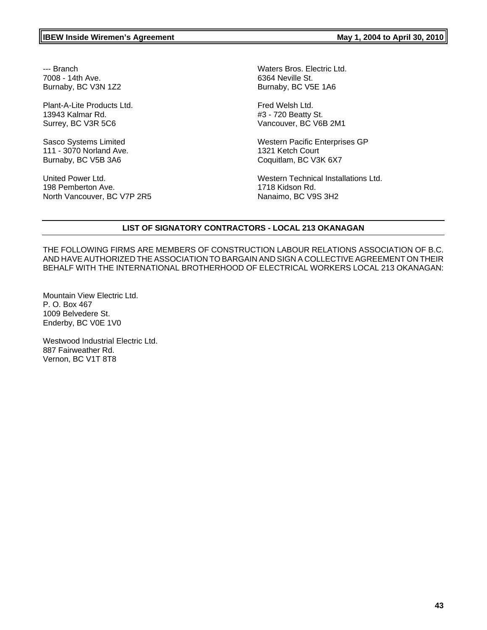--- Branch 7008 - 14th Ave. Burnaby, BC V3N 1Z2

Plant-A-Lite Products Ltd. 13943 Kalmar Rd. Surrey, BC V3R 5C6

Sasco Systems Limited 111 - 3070 Norland Ave. Burnaby, BC V5B 3A6

United Power Ltd. 198 Pemberton Ave. North Vancouver, BC V7P 2R5 Waters Bros. Electric Ltd. 6364 Neville St. Burnaby, BC V5E 1A6

Fred Welsh Ltd. #3 - 720 Beatty St. Vancouver, BC V6B 2M1

Western Pacific Enterprises GP 1321 Ketch Court Coquitlam, BC V3K 6X7

Western Technical Installations Ltd. 1718 Kidson Rd. Nanaimo, BC V9S 3H2

# **LIST OF SIGNATORY CONTRACTORS - LOCAL 213 OKANAGAN**

THE FOLLOWING FIRMS ARE MEMBERS OF CONSTRUCTION LABOUR RELATIONS ASSOCIATION OF B.C. AND HAVE AUTHORIZED THE ASSOCIATION TO BARGAIN AND SIGN A COLLECTIVE AGREEMENT ON THEIR BEHALF WITH THE INTERNATIONAL BROTHERHOOD OF ELECTRICAL WORKERS LOCAL 213 OKANAGAN:

Mountain View Electric Ltd. P. O. Box 467 1009 Belvedere St. Enderby, BC V0E 1V0

Westwood Industrial Electric Ltd. 887 Fairweather Rd. Vernon, BC V1T 8T8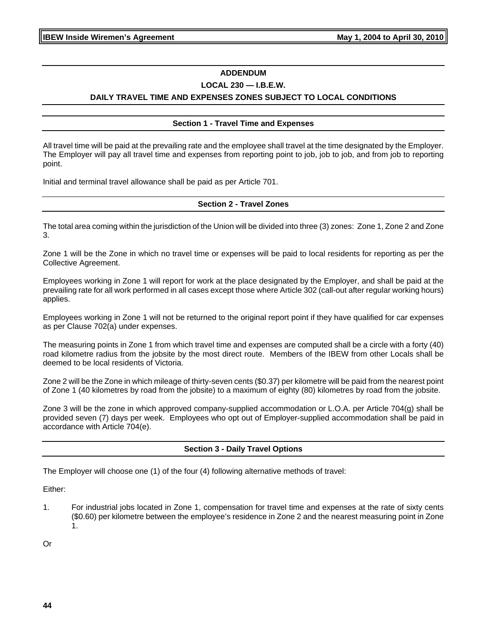## **ADDENDUM**

#### **LOCAL 230 — I.B.E.W.**

# **DAILY TRAVEL TIME AND EXPENSES ZONES SUBJECT TO LOCAL CONDITIONS**

#### **Section 1 - Travel Time and Expenses**

All travel time will be paid at the prevailing rate and the employee shall travel at the time designated by the Employer. The Employer will pay all travel time and expenses from reporting point to job, job to job, and from job to reporting point.

Initial and terminal travel allowance shall be paid as per Article 701.

#### **Section 2 - Travel Zones**

The total area coming within the jurisdiction of the Union will be divided into three (3) zones: Zone 1, Zone 2 and Zone 3.

Zone 1 will be the Zone in which no travel time or expenses will be paid to local residents for reporting as per the Collective Agreement.

Employees working in Zone 1 will report for work at the place designated by the Employer, and shall be paid at the prevailing rate for all work performed in all cases except those where Article 302 (call-out after regular working hours) applies.

Employees working in Zone 1 will not be returned to the original report point if they have qualified for car expenses as per Clause 702(a) under expenses.

The measuring points in Zone 1 from which travel time and expenses are computed shall be a circle with a forty (40) road kilometre radius from the jobsite by the most direct route. Members of the IBEW from other Locals shall be deemed to be local residents of Victoria.

Zone 2 will be the Zone in which mileage of thirty-seven cents (\$0.37) per kilometre will be paid from the nearest point of Zone 1 (40 kilometres by road from the jobsite) to a maximum of eighty (80) kilometres by road from the jobsite.

Zone 3 will be the zone in which approved company-supplied accommodation or L.O.A. per Article 704(g) shall be provided seven (7) days per week. Employees who opt out of Employer-supplied accommodation shall be paid in accordance with Article 704(e).

#### **Section 3 - Daily Travel Options**

The Employer will choose one (1) of the four (4) following alternative methods of travel:

Either:

1. For industrial jobs located in Zone 1, compensation for travel time and expenses at the rate of sixty cents (\$0.60) per kilometre between the employee's residence in Zone 2 and the nearest measuring point in Zone 1.

Or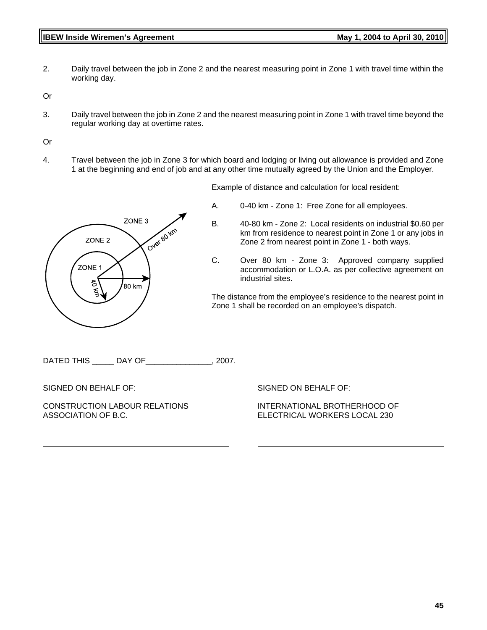2. Daily travel between the job in Zone 2 and the nearest measuring point in Zone 1 with travel time within the working day.

Or

3. Daily travel between the job in Zone 2 and the nearest measuring point in Zone 1 with travel time beyond the regular working day at overtime rates.

Or

4. Travel between the job in Zone 3 for which board and lodging or living out allowance is provided and Zone 1 at the beginning and end of job and at any other time mutually agreed by the Union and the Employer.

Example of distance and calculation for local resident:

A. 0-40 km - Zone 1: Free Zone for all employees.



- B. 40-80 km Zone 2: Local residents on industrial \$0.60 per km from residence to nearest point in Zone 1 or any jobs in Zone 2 from nearest point in Zone 1 - both ways.
- C. Over 80 km Zone 3: Approved company supplied accommodation or L.O.A. as per collective agreement on industrial sites.

The distance from the employee's residence to the nearest point in Zone 1 shall be recorded on an employee's dispatch.

DATED THIS \_\_\_\_ DAY OF \_\_\_\_\_\_\_\_\_\_\_\_\_\_, 2007.

SIGNED ON BEHALF OF:

CONSTRUCTION LABOUR RELATIONS ASSOCIATION OF B.C.

SIGNED ON BEHALF OF:

INTERNATIONAL BROTHERHOOD OF ELECTRICAL WORKERS LOCAL 230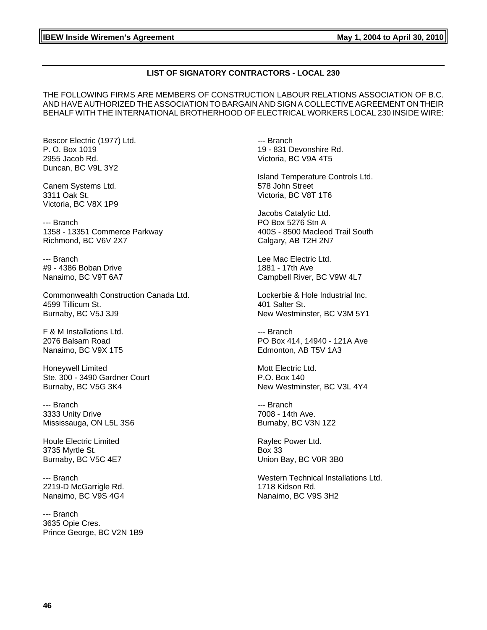#### **LIST OF SIGNATORY CONTRACTORS - LOCAL 230**

THE FOLLOWING FIRMS ARE MEMBERS OF CONSTRUCTION LABOUR RELATIONS ASSOCIATION OF B.C. AND HAVE AUTHORIZED THE ASSOCIATION TO BARGAIN AND SIGN A COLLECTIVE AGREEMENT ON THEIR BEHALF WITH THE INTERNATIONAL BROTHERHOOD OF ELECTRICAL WORKERS LOCAL 230 INSIDE WIRE:

Bescor Electric (1977) Ltd. P. O. Box 1019 2955 Jacob Rd. Duncan, BC V9L 3Y2

Canem Systems Ltd. 3311 Oak St. Victoria, BC V8X 1P9

--- Branch 1358 - 13351 Commerce Parkway Richmond, BC V6V 2X7

--- Branch #9 - 4386 Boban Drive Nanaimo, BC V9T 6A7

Commonwealth Construction Canada Ltd. 4599 Tillicum St. Burnaby, BC V5J 3J9

F & M Installations Ltd. 2076 Balsam Road Nanaimo, BC V9X 1T5

Honeywell Limited Ste. 300 - 3490 Gardner Court Burnaby, BC V5G 3K4

--- Branch 3333 Unity Drive Mississauga, ON L5L 3S6

Houle Electric Limited 3735 Myrtle St. Burnaby, BC V5C 4E7

--- Branch 2219-D McGarrigle Rd. Nanaimo, BC V9S 4G4

--- Branch 3635 Opie Cres. Prince George, BC V2N 1B9 --- Branch 19 - 831 Devonshire Rd. Victoria, BC V9A 4T5

Island Temperature Controls Ltd. 578 John Street Victoria, BC V8T 1T6

Jacobs Catalytic Ltd. PO Box 5276 Stn A 400S - 8500 Macleod Trail South Calgary, AB T2H 2N7

Lee Mac Electric Ltd. 1881 - 17th Ave Campbell River, BC V9W 4L7

Lockerbie & Hole Industrial Inc. 401 Salter St. New Westminster, BC V3M 5Y1

--- Branch PO Box 414, 14940 - 121A Ave Edmonton, AB T5V 1A3

Mott Electric Ltd. P.O. Box 140 New Westminster, BC V3L 4Y4

--- Branch 7008 - 14th Ave. Burnaby, BC V3N 1Z2

Raylec Power Ltd. Box 33 Union Bay, BC V0R 3B0

Western Technical Installations Ltd. 1718 Kidson Rd. Nanaimo, BC V9S 3H2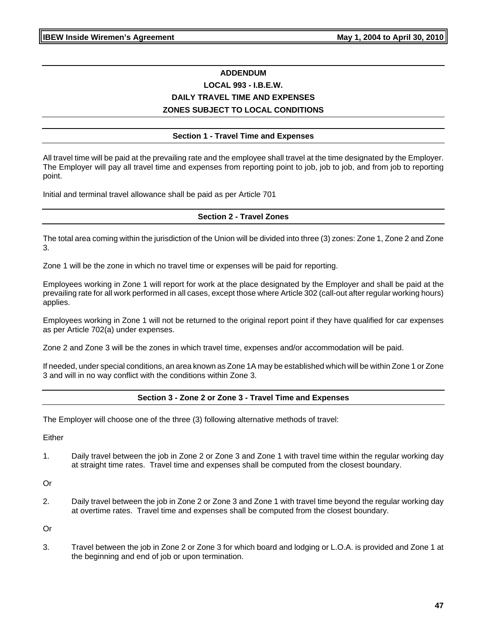# **ADDENDUM LOCAL 993 - I.B.E.W. DAILY TRAVEL TIME AND EXPENSES ZONES SUBJECT TO LOCAL CONDITIONS**

#### **Section 1 - Travel Time and Expenses**

All travel time will be paid at the prevailing rate and the employee shall travel at the time designated by the Employer. The Employer will pay all travel time and expenses from reporting point to job, job to job, and from job to reporting point.

Initial and terminal travel allowance shall be paid as per Article 701

#### **Section 2 - Travel Zones**

The total area coming within the jurisdiction of the Union will be divided into three (3) zones: Zone 1, Zone 2 and Zone 3.

Zone 1 will be the zone in which no travel time or expenses will be paid for reporting.

Employees working in Zone 1 will report for work at the place designated by the Employer and shall be paid at the prevailing rate for all work performed in all cases, except those where Article 302 (call-out after regular working hours) applies.

Employees working in Zone 1 will not be returned to the original report point if they have qualified for car expenses as per Article 702(a) under expenses.

Zone 2 and Zone 3 will be the zones in which travel time, expenses and/or accommodation will be paid.

If needed, under special conditions, an area known as Zone 1A may be established which will be within Zone 1 or Zone 3 and will in no way conflict with the conditions within Zone 3.

#### **Section 3 - Zone 2 or Zone 3 - Travel Time and Expenses**

The Employer will choose one of the three (3) following alternative methods of travel:

Either

1. Daily travel between the job in Zone 2 or Zone 3 and Zone 1 with travel time within the regular working day at straight time rates. Travel time and expenses shall be computed from the closest boundary.

Or

2. Daily travel between the job in Zone 2 or Zone 3 and Zone 1 with travel time beyond the regular working day at overtime rates. Travel time and expenses shall be computed from the closest boundary.

Or

3. Travel between the job in Zone 2 or Zone 3 for which board and lodging or L.O.A. is provided and Zone 1 at the beginning and end of job or upon termination.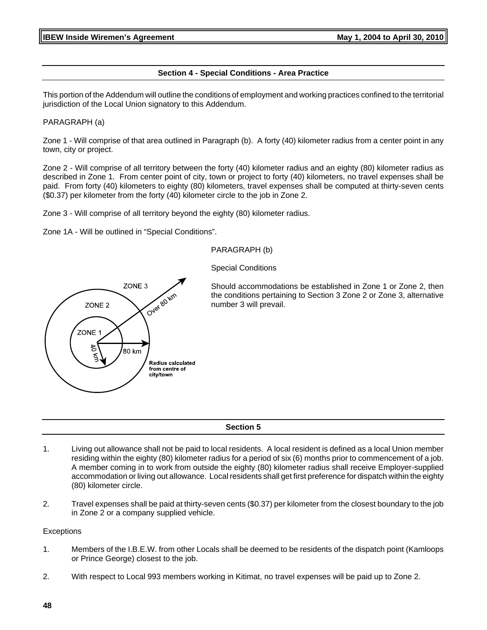#### **Section 4 - Special Conditions - Area Practice**

This portion of the Addendum will outline the conditions of employment and working practices confined to the territorial jurisdiction of the Local Union signatory to this Addendum.

#### PARAGRAPH (a)

Zone 1 - Will comprise of that area outlined in Paragraph (b). A forty (40) kilometer radius from a center point in any town, city or project.

Zone 2 - Will comprise of all territory between the forty (40) kilometer radius and an eighty (80) kilometer radius as described in Zone 1. From center point of city, town or project to forty (40) kilometers, no travel expenses shall be paid. From forty (40) kilometers to eighty (80) kilometers, travel expenses shall be computed at thirty-seven cents (\$0.37) per kilometer from the forty (40) kilometer circle to the job in Zone 2.

Zone 3 - Will comprise of all territory beyond the eighty (80) kilometer radius.

Zone 1A - Will be outlined in "Special Conditions".

#### PARAGRAPH (b)

Special Conditions



Should accommodations be established in Zone 1 or Zone 2, then the conditions pertaining to Section 3 Zone 2 or Zone 3, alternative number 3 will prevail.

#### **Section 5**

- 1. Living out allowance shall not be paid to local residents. A local resident is defined as a local Union member residing within the eighty (80) kilometer radius for a period of six (6) months prior to commencement of a job. A member coming in to work from outside the eighty (80) kilometer radius shall receive Employer-supplied accommodation or living out allowance. Local residents shall get first preference for dispatch within the eighty (80) kilometer circle.
- 2. Travel expenses shall be paid at thirty-seven cents (\$0.37) per kilometer from the closest boundary to the job in Zone 2 or a company supplied vehicle.

#### **Exceptions**

- 1. Members of the I.B.E.W. from other Locals shall be deemed to be residents of the dispatch point (Kamloops or Prince George) closest to the job.
- 2. With respect to Local 993 members working in Kitimat, no travel expenses will be paid up to Zone 2.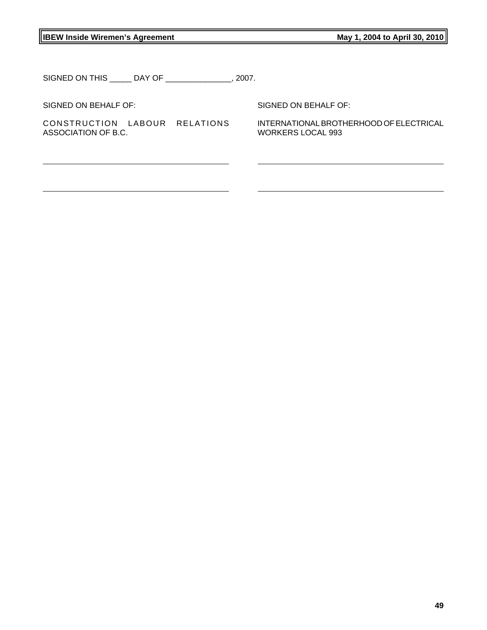# **IBEW Inside Wiremen's Agreement May 1, 2004 to April 30, 2010**

SIGNED ON THIS \_\_\_\_\_ DAY OF \_\_\_\_\_\_\_\_\_\_\_\_\_\_\_, 2007.

SIGNED ON BEHALF OF:

CONSTRUCTION LABOUR RELATIONS ASSOCIATION OF B.C.

SIGNED ON BEHALF OF:

INTERNATIONAL BROTHERHOOD OF ELECTRICAL WORKERS LOCAL 993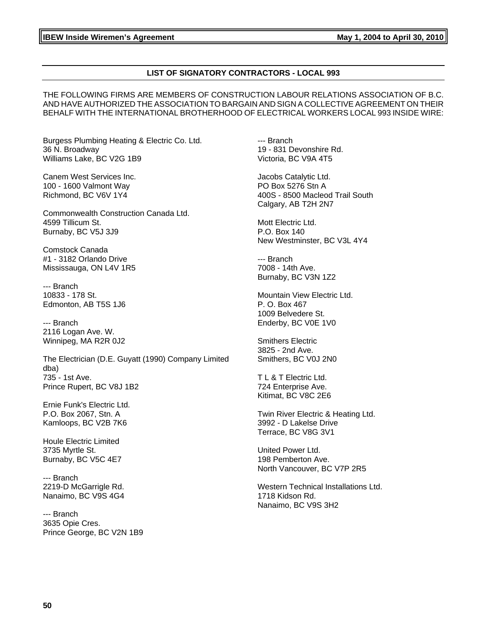#### **LIST OF SIGNATORY CONTRACTORS - LOCAL 993**

THE FOLLOWING FIRMS ARE MEMBERS OF CONSTRUCTION LABOUR RELATIONS ASSOCIATION OF B.C. AND HAVE AUTHORIZED THE ASSOCIATION TO BARGAIN AND SIGN A COLLECTIVE AGREEMENT ON THEIR BEHALF WITH THE INTERNATIONAL BROTHERHOOD OF ELECTRICAL WORKERS LOCAL 993 INSIDE WIRE:

Burgess Plumbing Heating & Electric Co. Ltd. 36 N. Broadway Williams Lake, BC V2G 1B9

Canem West Services Inc. 100 - 1600 Valmont Way Richmond, BC V6V 1Y4

Commonwealth Construction Canada Ltd. 4599 Tillicum St. Burnaby, BC V5J 3J9

Comstock Canada #1 - 3182 Orlando Drive Mississauga, ON L4V 1R5

--- Branch 10833 - 178 St. Edmonton, AB T5S 1J6

--- Branch 2116 Logan Ave. W. Winnipeg, MA R2R 0J2

The Electrician (D.E. Guyatt (1990) Company Limited dba) 735 - 1st Ave. Prince Rupert, BC V8J 1B2

Ernie Funk's Electric Ltd. P.O. Box 2067, Stn. A Kamloops, BC V2B 7K6

Houle Electric Limited 3735 Myrtle St. Burnaby, BC V5C 4E7

--- Branch 2219-D McGarrigle Rd. Nanaimo, BC V9S 4G4

--- Branch 3635 Opie Cres. Prince George, BC V2N 1B9 --- Branch 19 - 831 Devonshire Rd. Victoria, BC V9A 4T5

Jacobs Catalytic Ltd. PO Box 5276 Stn A 400S - 8500 Macleod Trail South Calgary, AB T2H 2N7

Mott Electric Ltd. P.O. Box 140 New Westminster, BC V3L 4Y4

--- Branch 7008 - 14th Ave. Burnaby, BC V3N 1Z2

Mountain View Electric Ltd. P. O. Box 467 1009 Belvedere St. Enderby, BC V0E 1V0

Smithers Electric 3825 - 2nd Ave. Smithers, BC V0J 2N0

T L & T Electric Ltd. 724 Enterprise Ave. Kitimat, BC V8C 2E6

Twin River Electric & Heating Ltd. 3992 - D Lakelse Drive Terrace, BC V8G 3V1

United Power Ltd. 198 Pemberton Ave. North Vancouver, BC V7P 2R5

Western Technical Installations Ltd. 1718 Kidson Rd. Nanaimo, BC V9S 3H2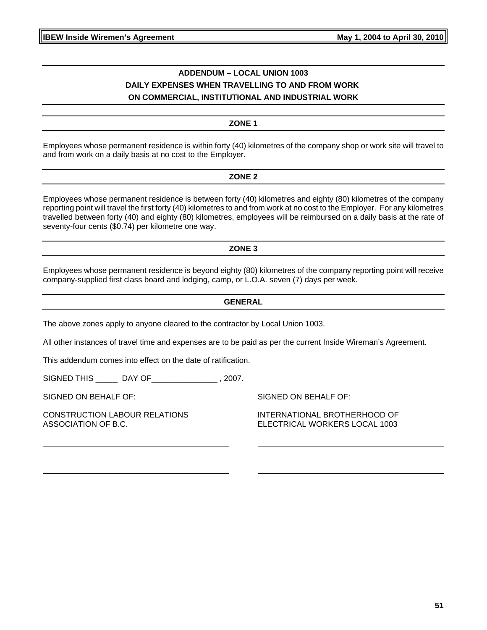# **ADDENDUM – LOCAL UNION 1003 DAILY EXPENSES WHEN TRAVELLING TO AND FROM WORK ON COMMERCIAL, INSTITUTIONAL AND INDUSTRIAL WORK**

#### **ZONE 1**

Employees whose permanent residence is within forty (40) kilometres of the company shop or work site will travel to and from work on a daily basis at no cost to the Employer.

#### **ZONE 2**

Employees whose permanent residence is between forty (40) kilometres and eighty (80) kilometres of the company reporting point will travel the first forty (40) kilometres to and from work at no cost to the Employer. For any kilometres travelled between forty (40) and eighty (80) kilometres, employees will be reimbursed on a daily basis at the rate of seventy-four cents (\$0.74) per kilometre one way.

#### **ZONE 3**

Employees whose permanent residence is beyond eighty (80) kilometres of the company reporting point will receive company-supplied first class board and lodging, camp, or L.O.A. seven (7) days per week.

#### **GENERAL**

The above zones apply to anyone cleared to the contractor by Local Union 1003.

All other instances of travel time and expenses are to be paid as per the current Inside Wireman's Agreement.

This addendum comes into effect on the date of ratification.

SIGNED THIS \_\_\_\_\_ DAY OF\_\_\_\_\_\_\_\_\_\_\_\_\_\_\_ , 2007.

SIGNED ON BEHALF OF:

CONSTRUCTION LABOUR RELATIONS ASSOCIATION OF B.C.

SIGNED ON BEHALF OF:

INTERNATIONAL BROTHERHOOD OF ELECTRICAL WORKERS LOCAL 1003

**51**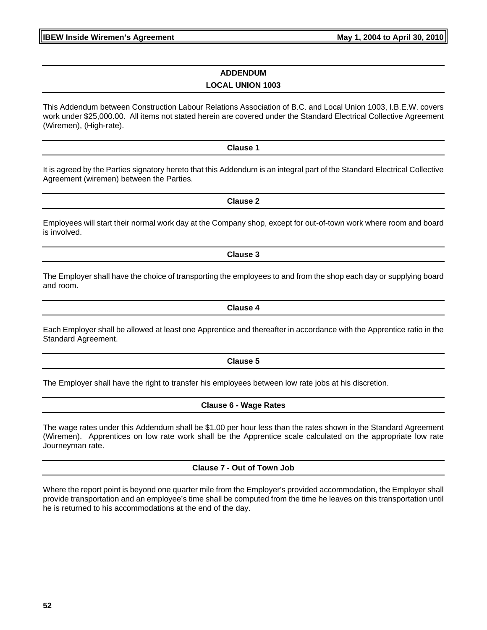**IBEW Inside Wiremen's Agreement Constrained April 2004 to April 30, 2010** 

# **ADDENDUM LOCAL UNION 1003**

This Addendum between Construction Labour Relations Association of B.C. and Local Union 1003, I.B.E.W. covers work under \$25,000.00. All items not stated herein are covered under the Standard Electrical Collective Agreement (Wiremen), (High-rate).

**Clause 1**

It is agreed by the Parties signatory hereto that this Addendum is an integral part of the Standard Electrical Collective Agreement (wiremen) between the Parties.

Employees will start their normal work day at the Company shop, except for out-of-town work where room and board is involved.

**Clause 3**

The Employer shall have the choice of transporting the employees to and from the shop each day or supplying board and room.

Each Employer shall be allowed at least one Apprentice and thereafter in accordance with the Apprentice ratio in the Standard Agreement.

**Clause 5**

The Employer shall have the right to transfer his employees between low rate jobs at his discretion.

**Clause 6 - Wage Rates**

The wage rates under this Addendum shall be \$1.00 per hour less than the rates shown in the Standard Agreement (Wiremen). Apprentices on low rate work shall be the Apprentice scale calculated on the appropriate low rate Journeyman rate.

**Clause 7 - Out of Town Job**

Where the report point is beyond one quarter mile from the Employer's provided accommodation, the Employer shall provide transportation and an employee's time shall be computed from the time he leaves on this transportation until he is returned to his accommodations at the end of the day.

**Clause 2**

**Clause 4**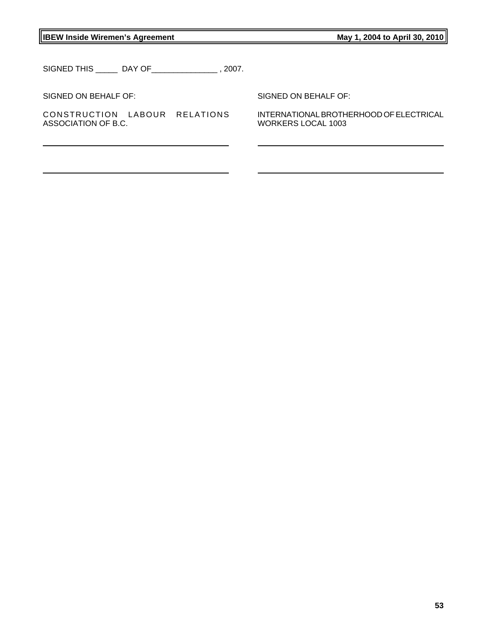**IBEW Inside Wiremen's Agreement May 1, 2004 to April 30, 2010** 

SIGNED THIS \_\_\_\_\_ DAY OF\_\_\_\_\_\_\_\_\_\_\_\_\_\_\_ , 2007.

SIGNED ON BEHALF OF:

CONSTRUCTION LABOUR RELATIONS ASSOCIATION OF B.C.

SIGNED ON BEHALF OF:

INTERNATIONAL BROTHERHOOD OF ELECTRICAL WORKERS LOCAL 1003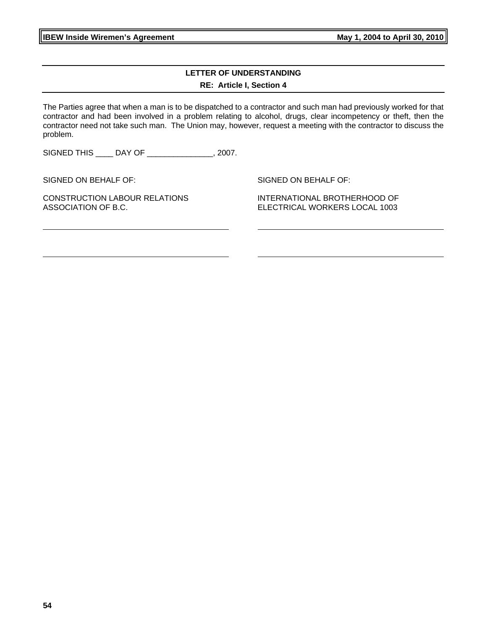**54**

**IBEW Inside Wiremen's Agreement May 1, 2004 to April 30, 2010** 

**LETTER OF UNDERSTANDING RE: Article I, Section 4**

The Parties agree that when a man is to be dispatched to a contractor and such man had previously worked for that contractor and had been involved in a problem relating to alcohol, drugs, clear incompetency or theft, then the contractor need not take such man. The Union may, however, request a meeting with the contractor to discuss the problem.

SIGNED THIS \_\_\_\_ DAY OF \_\_\_\_\_\_\_\_\_\_\_\_\_\_\_, 2007.

SIGNED ON BEHALF OF:

CONSTRUCTION LABOUR RELATIONS ASSOCIATION OF B.C.

SIGNED ON BEHALF OF:

INTERNATIONAL BROTHERHOOD OF ELECTRICAL WORKERS LOCAL 1003